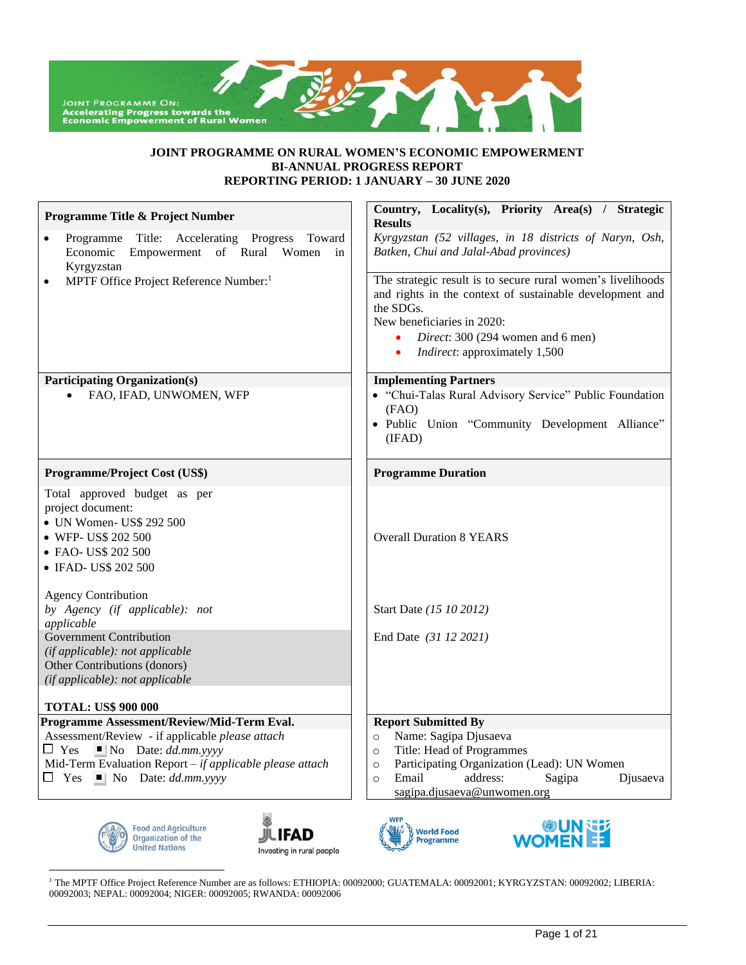

### **JOINT PROGRAMME ON RURAL WOMEN'S ECONOMIC EMPOWERMENT BI-ANNUAL PROGRESS REPORT REPORTING PERIOD: 1 JANUARY – 30 JUNE 2020**

| Programme Title & Project Number                                                                                                                                   | Country, Locality(s), Priority Area(s) / Strategic<br><b>Results</b>                                                                                                                                                                                          |
|--------------------------------------------------------------------------------------------------------------------------------------------------------------------|---------------------------------------------------------------------------------------------------------------------------------------------------------------------------------------------------------------------------------------------------------------|
| Programme Title: Accelerating Progress<br>Toward<br>$\bullet$<br>Economic<br>Empowerment<br>of Rural<br>Women<br>in<br>Kyrgyzstan                                  | Kyrgyzstan (52 villages, in 18 districts of Naryn, Osh,<br>Batken, Chui and Jalal-Abad provinces)                                                                                                                                                             |
| MPTF Office Project Reference Number: <sup>1</sup><br>$\bullet$                                                                                                    | The strategic result is to secure rural women's livelihoods<br>and rights in the context of sustainable development and<br>the SDGs.<br>New beneficiaries in 2020:<br>Direct: 300 (294 women and 6 men)<br><i>Indirect</i> : approximately 1,500<br>$\bullet$ |
| <b>Participating Organization(s)</b>                                                                                                                               | <b>Implementing Partners</b>                                                                                                                                                                                                                                  |
| FAO, IFAD, UNWOMEN, WFP                                                                                                                                            | • "Chui-Talas Rural Advisory Service" Public Foundation<br>(FAO)<br>· Public Union "Community Development Alliance"<br>(IFAD)                                                                                                                                 |
| Programme/Project Cost (US\$)                                                                                                                                      | <b>Programme Duration</b>                                                                                                                                                                                                                                     |
| Total approved budget as per<br>project document:<br>• UN Women- US\$ 292 500<br>• WFP- US\$ 202 500<br>• FAO- US\$ 202 500<br>• IFAD- US\$ 202 500                | <b>Overall Duration 8 YEARS</b>                                                                                                                                                                                                                               |
| <b>Agency Contribution</b><br>by Agency (if applicable): not<br>applicable                                                                                         | Start Date (15 10 2012)                                                                                                                                                                                                                                       |
| <b>Government Contribution</b><br>(if applicable): not applicable<br>Other Contributions (donors)<br>(if applicable): not applicable<br><b>TOTAL: US\$ 900 000</b> | End Date (31 12 2021)                                                                                                                                                                                                                                         |
| Programme Assessment/Review/Mid-Term Eval.                                                                                                                         | <b>Report Submitted By</b>                                                                                                                                                                                                                                    |
| Assessment/Review - if applicable please attach                                                                                                                    | Name: Sagipa Djusaeva<br>$\circ$                                                                                                                                                                                                                              |
| $\Box$ Yes<br>$\Box$ No Date: dd.mm.yyyy                                                                                                                           | Title: Head of Programmes<br>$\circ$                                                                                                                                                                                                                          |
| Mid-Term Evaluation Report $-$ if applicable please attach                                                                                                         | Participating Organization (Lead): UN Women<br>$\circ$                                                                                                                                                                                                        |
| $\Box$ Yes $\Box$ No Date: dd.mm.yyyy                                                                                                                              | address:<br>Email<br>Sagipa<br>Djusaeva<br>$\Omega$<br>sagipa.djusaeva@unwomen.org                                                                                                                                                                            |









<sup>1</sup> The MPTF Office Project Reference Number are as follows: ETHIOPIA: 00092000; GUATEMALA: 00092001; KYRGYZSTAN: 00092002; LIBERIA: 00092003; NEPAL: 00092004; NIGER: 00092005; RWANDA: 00092006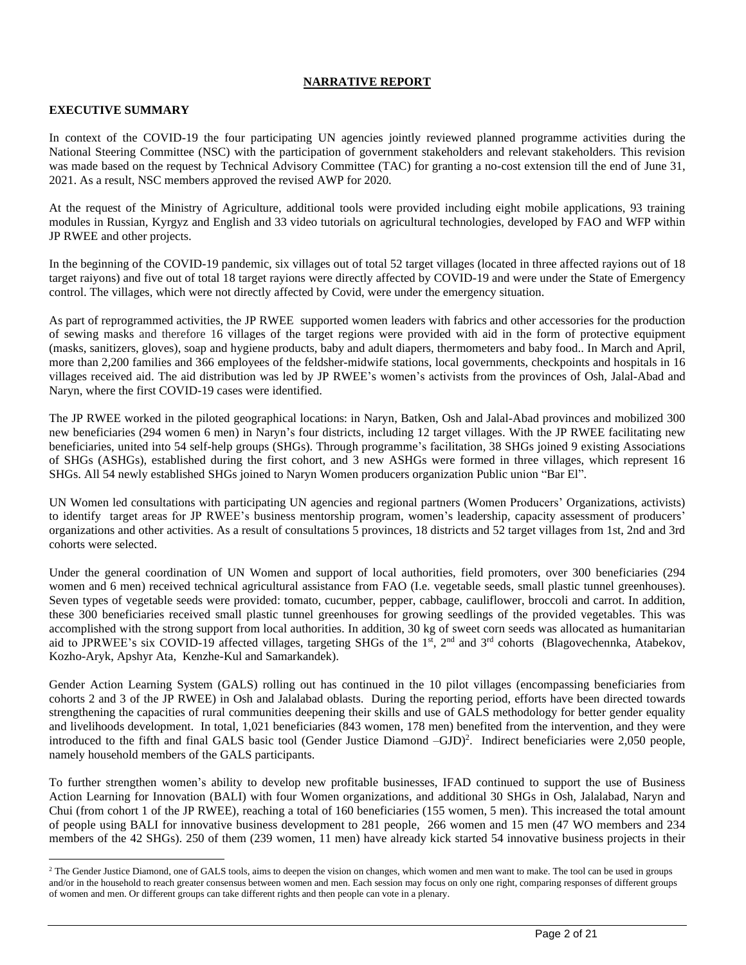#### **NARRATIVE REPORT**

# **EXECUTIVE SUMMARY**

In context of the COVID-19 the four participating UN agencies jointly reviewed planned programme activities during the National Steering Committee (NSC) with the participation of government stakeholders and relevant stakeholders. This revision was made based on the request by Technical Advisory Committee (TAC) for granting a no-cost extension till the end of June 31, 2021. As a result, NSC members approved the revised AWP for 2020.

At the request of the Ministry of Agriculture, additional tools were provided including eight mobile applications, 93 training modules in Russian, Kyrgyz and English and 33 video tutorials on agricultural technologies, developed by FAO and WFP within JP RWEE and other projects.

In the beginning of the COVID-19 pandemic, six villages out of total 52 target villages (located in three affected rayions out of 18 target raiyons) and five out of total 18 target rayions were directly affected by COVID-19 and were under the State of Emergency control. The villages, which were not directly affected by Covid, were under the emergency situation.

As part of reprogrammed activities, the JP RWEE supported women leaders with fabrics and other accessories for the production of sewing masks and therefore 16 villages of the target regions were provided with aid in the form of protective equipment (masks, sanitizers, gloves), soap and hygiene products, baby and adult diapers, thermometers and baby food.. In March and April, more than 2,200 families and 366 employees of the feldsher-midwife stations, local governments, checkpoints and hospitals in 16 villages received aid. The aid distribution was led by JP RWEE's women's activists from the provinces of Osh, Jalal-Abad and Naryn, where the first COVID-19 cases were identified.

The JP RWEE worked in the piloted geographical locations: in Naryn, Batken, Osh and Jalal-Abad provinces and mobilized 300 new beneficiaries (294 women 6 men) in Naryn's four districts, including 12 target villages. With the JP RWEE facilitating new beneficiaries, united into 54 self-help groups (SHGs). Through programme's facilitation, 38 SHGs joined 9 existing Associations of SHGs (ASHGs), established during the first cohort, and 3 new ASHGs were formed in three villages, which represent 16 SHGs. All 54 newly established SHGs joined to Naryn Women producers organization Public union "Bar El".

UN Women led consultations with participating UN agencies and regional partners (Women Producers' Organizations, activists) to identify target areas for JP RWEE's business mentorship program, women's leadership, capacity assessment of producers' organizations and other activities. As a result of consultations 5 provinces, 18 districts and 52 target villages from 1st, 2nd and 3rd cohorts were selected.

Under the general coordination of UN Women and support of local authorities, field promoters, over 300 beneficiaries (294 women and 6 men) received technical agricultural assistance from FAO (I.e. vegetable seeds, small plastic tunnel greenhouses). Seven types of vegetable seeds were provided: tomato, cucumber, pepper, cabbage, cauliflower, broccoli and carrot. In addition, these 300 beneficiaries received small plastic tunnel greenhouses for growing seedlings of the provided vegetables. This was accomplished with the strong support from local authorities. In addition, 30 kg of sweet corn seeds was allocated as humanitarian aid to JPRWEE's six COVID-19 affected villages, targeting SHGs of the  $1<sup>st</sup>$ ,  $2<sup>nd</sup>$  and  $3<sup>rd</sup>$  cohorts (Blagovechennka, Atabekov, Kozho-Aryk, Apshyr Ata, Kenzhe-Kul and Samarkandek).

Gender Action Learning System (GALS) rolling out has continued in the 10 pilot villages (encompassing beneficiaries from cohorts 2 and 3 of the JP RWEE) in Osh and Jalalabad oblasts. During the reporting period, efforts have been directed towards strengthening the capacities of rural communities deepening their skills and use of GALS methodology for better gender equality and livelihoods development. In total, 1,021 beneficiaries (843 women, 178 men) benefited from the intervention, and they were introduced to the fifth and final GALS basic tool (Gender Justice Diamond –GJD) 2 . Indirect beneficiaries were 2,050 people, namely household members of the GALS participants.

To further strengthen women's ability to develop new profitable businesses, IFAD continued to support the use of Business Action Learning for Innovation (BALI) with four Women organizations, and additional 30 SHGs in Osh, Jalalabad, Naryn and Chui (from cohort 1 of the JP RWEE), reaching a total of 160 beneficiaries (155 women, 5 men). This increased the total amount of people using BALI for innovative business development to 281 people, 266 women and 15 men (47 WO members and 234 members of the 42 SHGs). 250 of them (239 women, 11 men) have already kick started 54 innovative business projects in their

<sup>&</sup>lt;sup>2</sup> The Gender Justice Diamond, one of GALS tools, aims to deepen the vision on changes, which women and men want to make. The tool can be used in groups and/or in the household to reach greater consensus between women and men. Each session may focus on only one right, comparing responses of different groups of women and men. Or different groups can take different rights and then people can vote in a plenary.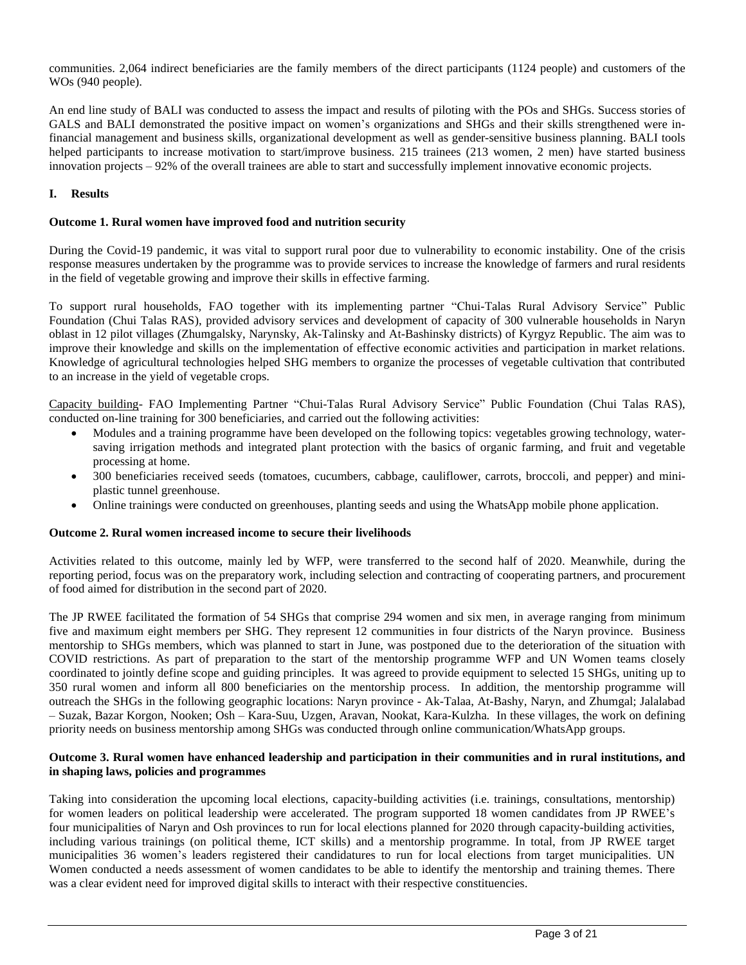communities. 2,064 indirect beneficiaries are the family members of the direct participants (1124 people) and customers of the WOs (940 people).

An end line study of BALI was conducted to assess the impact and results of piloting with the POs and SHGs. Success stories of GALS and BALI demonstrated the positive impact on women's organizations and SHGs and their skills strengthened were infinancial management and business skills, organizational development as well as gender-sensitive business planning. BALI tools helped participants to increase motivation to start/improve business. 215 trainees (213 women, 2 men) have started business innovation projects – 92% of the overall trainees are able to start and successfully implement innovative economic projects.

# **I. Results**

# **Outcome 1. Rural women have improved food and nutrition security**

During the Covid-19 pandemic, it was vital to support rural poor due to vulnerability to economic instability. One of the crisis response measures undertaken by the programme was to provide services to increase the knowledge of farmers and rural residents in the field of vegetable growing and improve their skills in effective farming.

To support rural households, FAO together with its implementing partner "Chui-Talas Rural Advisory Service" Public Foundation (Chui Talas RAS), provided advisory services and development of capacity of 300 vulnerable households in Naryn oblast in 12 pilot villages (Zhumgalsky, Narynsky, Ak-Talinsky and At-Bashinsky districts) of Kyrgyz Republic. The aim was to improve their knowledge and skills on the implementation of effective economic activities and participation in market relations. Knowledge of agricultural technologies helped SHG members to organize the processes of vegetable cultivation that contributed to an increase in the yield of vegetable crops.

Capacity building- FAO Implementing Partner "Chui-Talas Rural Advisory Service" Public Foundation (Chui Talas RAS), conducted on-line training for 300 beneficiaries, and carried out the following activities:

- Modules and a training programme have been developed on the following topics: vegetables growing technology, watersaving irrigation methods and integrated plant protection with the basics of organic farming, and fruit and vegetable processing at home.
- 300 beneficiaries received seeds (tomatoes, cucumbers, cabbage, cauliflower, carrots, broccoli, and pepper) and miniplastic tunnel greenhouse.
- Online trainings were conducted on greenhouses, planting seeds and using the WhatsApp mobile phone application.

# **Outcome 2. Rural women increased income to secure their livelihoods**

Activities related to this outcome, mainly led by WFP, were transferred to the second half of 2020. Meanwhile, during the reporting period, focus was on the preparatory work, including selection and contracting of cooperating partners, and procurement of food aimed for distribution in the second part of 2020.

The JP RWEE facilitated the formation of 54 SHGs that comprise 294 women and six men, in average ranging from minimum five and maximum eight members per SHG. They represent 12 communities in four districts of the Naryn province. Business mentorship to SHGs members, which was planned to start in June, was postponed due to the deterioration of the situation with COVID restrictions. As part of preparation to the start of the mentorship programme WFP and UN Women teams closely coordinated to jointly define scope and guiding principles. It was agreed to provide equipment to selected 15 SHGs, uniting up to 350 rural women and inform all 800 beneficiaries on the mentorship process. In addition, the mentorship programme will outreach the SHGs in the following geographic locations: Naryn province - Ak-Talaa, At-Bashy, Naryn, and Zhumgal; Jalalabad – Suzak, Bazar Korgon, Nooken; Osh – Kara-Suu, Uzgen, Aravan, Nookat, Kara-Kulzha. In these villages, the work on defining priority needs on business mentorship among SHGs was conducted through online communication/WhatsApp groups.

### **Outcome 3. Rural women have enhanced leadership and participation in their communities and in rural institutions, and in shaping laws, policies and programmes**

Taking into consideration the upcoming local elections, capacity-building activities (i.e. trainings, consultations, mentorship) for women leaders on political leadership were accelerated. The program supported 18 women candidates from JP RWEE's four municipalities of Naryn and Osh provinces to run for local elections planned for 2020 through capacity-building activities, including various trainings (on political theme, ICT skills) and a mentorship programme. In total, from JP RWEE target municipalities 36 women's leaders registered their candidatures to run for local elections from target municipalities. UN Women conducted a needs assessment of women candidates to be able to identify the mentorship and training themes. There was a clear evident need for improved digital skills to interact with their respective constituencies.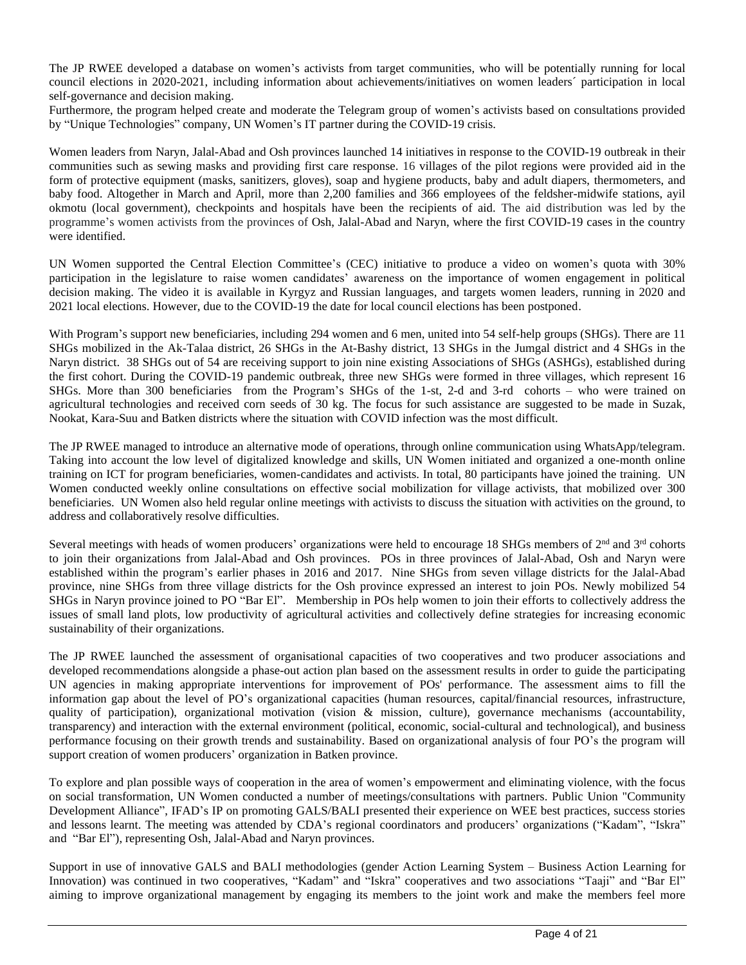The JP RWEE developed a database on women's activists from target communities, who will be potentially running for local council elections in 2020-2021, including information about achievements/initiatives on women leaders´ participation in local self-governance and decision making.

Furthermore, the program helped create and moderate the Telegram group of women's activists based on consultations provided by "Unique Technologies" company, UN Women's IT partner during the COVID-19 crisis.

Women leaders from Naryn, Jalal-Abad and Osh provinces launched 14 initiatives in response to the COVID-19 outbreak in their communities such as sewing masks and providing first care response. 16 villages of the pilot regions were provided aid in the form of protective equipment (masks, sanitizers, gloves), soap and hygiene products, baby and adult diapers, thermometers, and baby food. Altogether in March and April, more than 2,200 families and 366 employees of the feldsher-midwife stations, ayil okmotu (local government), checkpoints and hospitals have been the recipients of aid. The aid distribution was led by the programme's women activists from the provinces of Osh, Jalal-Abad and Naryn, where the first COVID-19 cases in the country were identified.

UN Women supported the Central Election Committee's (CEC) initiative to produce a video on women's quota with 30% participation in the legislature to raise women candidates' awareness on the importance of women engagement in political decision making. The video it is available in Kyrgyz and Russian languages, and targets women leaders, running in 2020 and 2021 local elections. However, due to the COVID-19 the date for local council elections has been postponed.

With Program's support new beneficiaries, including 294 women and 6 men, united into 54 self-help groups (SHGs). There are 11 SHGs mobilized in the Ak-Talaa district, 26 SHGs in the At-Bashy district, 13 SHGs in the Jumgal district and 4 SHGs in the Naryn district. 38 SHGs out of 54 are receiving support to join nine existing Associations of SHGs (ASHGs), established during the first cohort. During the COVID-19 pandemic outbreak, three new SHGs were formed in three villages, which represent 16 SHGs. More than 300 beneficiaries from the Program's SHGs of the 1-st, 2-d and 3-rd cohorts – who were trained on agricultural technologies and received corn seeds of 30 kg. The focus for such assistance are suggested to be made in Suzak, Nookat, Kara-Suu and Batken districts where the situation with COVID infection was the most difficult.

The JP RWEE managed to introduce an alternative mode of operations, through online communication using WhatsApp/telegram. Taking into account the low level of digitalized knowledge and skills, UN Women initiated and organized a one-month online training on ICT for program beneficiaries, women-candidates and activists. In total, 80 participants have joined the training. UN Women conducted weekly online consultations on effective social mobilization for village activists, that mobilized over 300 beneficiaries. UN Women also held regular online meetings with activists to discuss the situation with activities on the ground, to address and collaboratively resolve difficulties.

Several meetings with heads of women producers' organizations were held to encourage 18 SHGs members of  $2<sup>nd</sup>$  and  $3<sup>rd</sup>$  cohorts to join their organizations from Jalal-Abad and Osh provinces. POs in three provinces of Jalal-Abad, Osh and Naryn were established within the program's earlier phases in 2016 and 2017. Nine SHGs from seven village districts for the Jalal-Abad province, nine SHGs from three village districts for the Osh province expressed an interest to join POs. Newly mobilized 54 SHGs in Naryn province joined to PO "Bar El". Membership in POs help women to join their efforts to collectively address the issues of small land plots, low productivity of agricultural activities and collectively define strategies for increasing economic sustainability of their organizations.

The JP RWEE launched the assessment of organisational capacities of two cooperatives and two producer associations and developed recommendations alongside a phase-out action plan based on the assessment results in order to guide the participating UN agencies in making appropriate interventions for improvement of POs' performance. The assessment aims to fill the information gap about the level of PO's organizational capacities (human resources, capital/financial resources, infrastructure, quality of participation), organizational motivation (vision  $\&$  mission, culture), governance mechanisms (accountability, transparency) and interaction with the external environment (political, economic, social-cultural and technological), and business performance focusing on their growth trends and sustainability. Based on organizational analysis of four PO's the program will support creation of women producers' organization in Batken province.

To explore and plan possible ways of cooperation in the area of women's empowerment and eliminating violence, with the focus on social transformation, UN Women conducted a number of meetings/consultations with partners. Public Union "Community Development Alliance", IFAD's IP on promoting GALS/BALI presented their experience on WEE best practices, success stories and lessons learnt. The meeting was attended by CDA's regional coordinators and producers' organizations ("Kadam", "Iskra" and "Bar El"), representing Osh, Jalal-Abad and Naryn provinces.

Support in use of innovative GALS and BALI methodologies (gender Action Learning System – Business Action Learning for Innovation) was continued in two cooperatives, "Kadam" and "Iskra" cooperatives and two associations "Taaji" and "Bar El" aiming to improve organizational management by engaging its members to the joint work and make the members feel more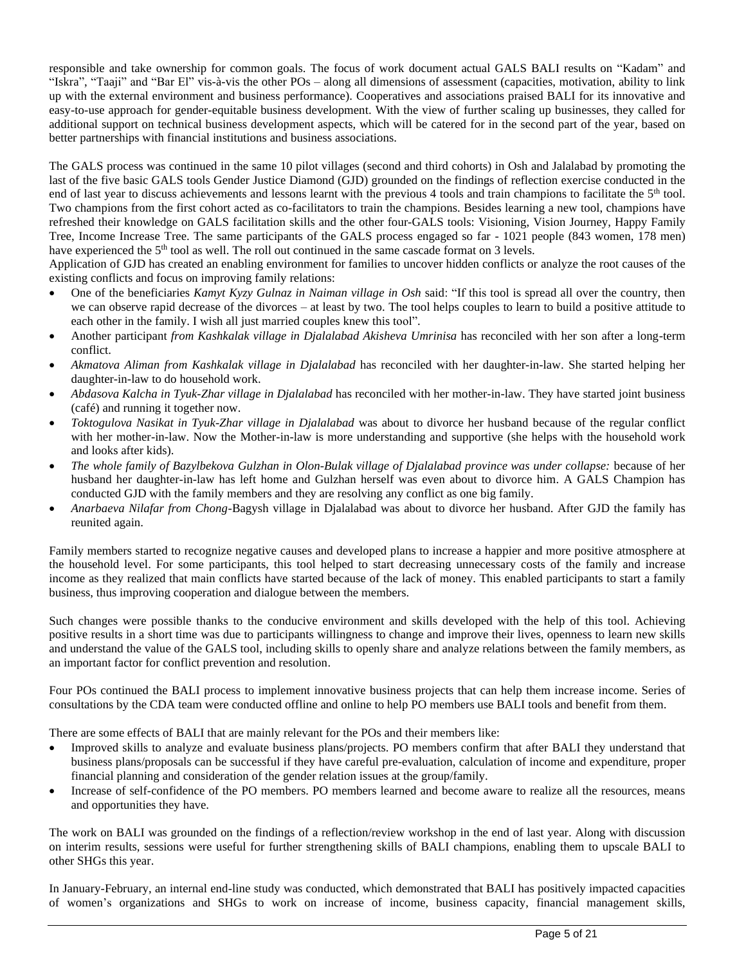responsible and take ownership for common goals. The focus of work document actual GALS BALI results on "Kadam" and "Iskra", "Taaji" and "Bar El" vis-à-vis the other POs – along all dimensions of assessment (capacities, motivation, ability to link up with the external environment and business performance). Cooperatives and associations praised BALI for its innovative and easy-to-use approach for gender-equitable business development. With the view of further scaling up businesses, they called for additional support on technical business development aspects, which will be catered for in the second part of the year, based on better partnerships with financial institutions and business associations.

The GALS process was continued in the same 10 pilot villages (second and third cohorts) in Osh and Jalalabad by promoting the last of the five basic GALS tools Gender Justice Diamond (GJD) grounded on the findings of reflection exercise conducted in the end of last year to discuss achievements and lessons learnt with the previous 4 tools and train champions to facilitate the 5<sup>th</sup> tool. Two champions from the first cohort acted as co-facilitators to train the champions. Besides learning a new tool, champions have refreshed their knowledge on GALS facilitation skills and the other four-GALS tools: Visioning, Vision Journey, Happy Family Tree, Income Increase Tree. The same participants of the GALS process engaged so far - 1021 people (843 women, 178 men) have experienced the  $5<sup>th</sup>$  tool as well. The roll out continued in the same cascade format on 3 levels.

Application of GJD has created an enabling environment for families to uncover hidden conflicts or analyze the root causes of the existing conflicts and focus on improving family relations:

- One of the beneficiaries *Kamyt Kyzy Gulnaz in Naiman village in Osh* said: "If this tool is spread all over the country, then we can observe rapid decrease of the divorces – at least by two. The tool helps couples to learn to build a positive attitude to each other in the family. I wish all just married couples knew this tool".
- Another participant *from Kashkalak village in Djalalabad Akisheva Umrinisa* has reconciled with her son after a long-term conflict.
- *Akmatova Aliman from Kashkalak village in Djalalabad* has reconciled with her daughter-in-law. She started helping her daughter-in-law to do household work.
- *Abdasova Kalcha in Tyuk-Zhar village in Djalalabad* has reconciled with her mother-in-law. They have started joint business (café) and running it together now.
- *Toktogulova Nasikat in Tyuk-Zhar village in Djalalabad* was about to divorce her husband because of the regular conflict with her mother-in-law. Now the Mother-in-law is more understanding and supportive (she helps with the household work and looks after kids).
- *The whole family of Bazylbekova Gulzhan in Olon-Bulak village of Djalalabad province was under collapse:* because of her husband her daughter-in-law has left home and Gulzhan herself was even about to divorce him. A GALS Champion has conducted GJD with the family members and they are resolving any conflict as one big family.
- *Anarbaeva Nilafar from Chong-*Bagysh village in Djalalabad was about to divorce her husband. After GJD the family has reunited again.

Family members started to recognize negative causes and developed plans to increase a happier and more positive atmosphere at the household level. For some participants, this tool helped to start decreasing unnecessary costs of the family and increase income as they realized that main conflicts have started because of the lack of money. This enabled participants to start a family business, thus improving cooperation and dialogue between the members.

Such changes were possible thanks to the conducive environment and skills developed with the help of this tool. Achieving positive results in a short time was due to participants willingness to change and improve their lives, openness to learn new skills and understand the value of the GALS tool, including skills to openly share and analyze relations between the family members, as an important factor for conflict prevention and resolution.

Four POs continued the BALI process to implement innovative business projects that can help them increase income. Series of consultations by the CDA team were conducted offline and online to help PO members use BALI tools and benefit from them.

There are some effects of BALI that are mainly relevant for the POs and their members like:

- Improved skills to analyze and evaluate business plans/projects. PO members confirm that after BALI they understand that business plans/proposals can be successful if they have careful pre-evaluation, calculation of income and expenditure, proper financial planning and consideration of the gender relation issues at the group/family.
- Increase of self-confidence of the PO members. PO members learned and become aware to realize all the resources, means and opportunities they have.

The work on BALI was grounded on the findings of a reflection/review workshop in the end of last year. Along with discussion on interim results, sessions were useful for further strengthening skills of BALI champions, enabling them to upscale BALI to other SHGs this year.

In January-February, an internal end-line study was conducted, which demonstrated that BALI has positively impacted capacities of women's organizations and SHGs to work on increase of income, business capacity, financial management skills,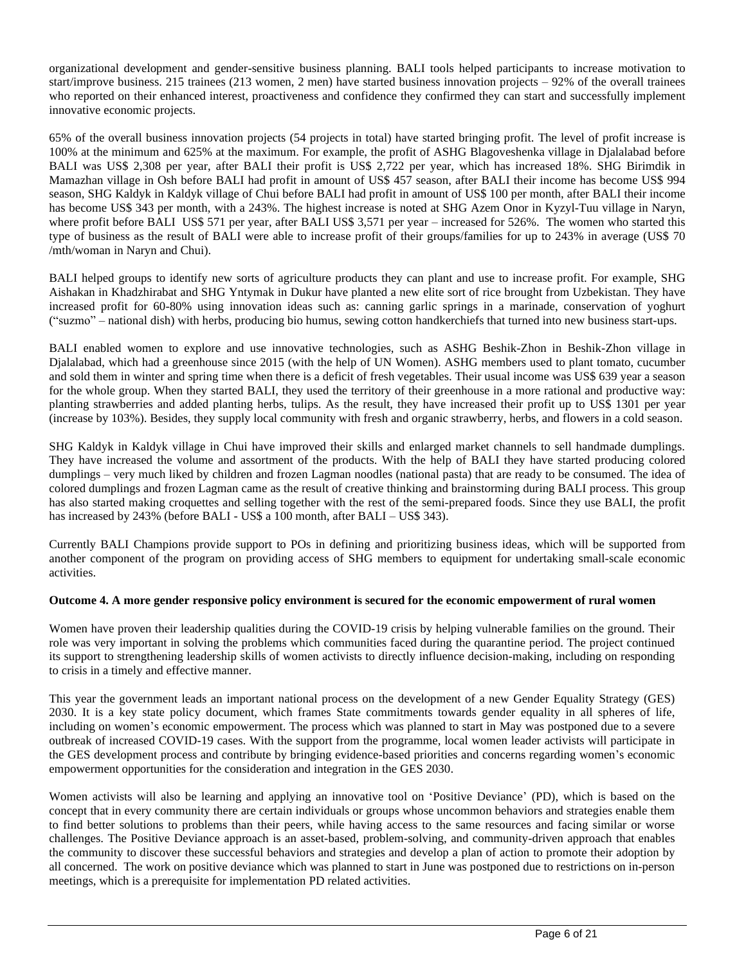organizational development and gender-sensitive business planning. BALI tools helped participants to increase motivation to start/improve business. 215 trainees (213 women, 2 men) have started business innovation projects – 92% of the overall trainees who reported on their enhanced interest, proactiveness and confidence they confirmed they can start and successfully implement innovative economic projects.

65% of the overall business innovation projects (54 projects in total) have started bringing profit. The level of profit increase is 100% at the minimum and 625% at the maximum. For example, the profit of ASHG Blagoveshenka village in Djalalabad before BALI was US\$ 2,308 per year, after BALI their profit is US\$ 2,722 per year, which has increased 18%. SHG Birimdik in Mamazhan village in Osh before BALI had profit in amount of US\$ 457 season, after BALI their income has become US\$ 994 season, SHG Kaldyk in Kaldyk village of Chui before BALI had profit in amount of US\$ 100 per month, after BALI their income has become US\$ 343 per month, with a 243%. The highest increase is noted at SHG Azem Onor in Kyzyl-Tuu village in Naryn, where profit before BALI US\$ 571 per year, after BALI US\$ 3,571 per year – increased for 526%. The women who started this type of business as the result of BALI were able to increase profit of their groups/families for up to 243% in average (US\$ 70 /mth/woman in Naryn and Chui).

BALI helped groups to identify new sorts of agriculture products they can plant and use to increase profit. For example, SHG Aishakan in Khadzhirabat and SHG Yntymak in Dukur have planted a new elite sort of rice brought from Uzbekistan. They have increased profit for 60-80% using innovation ideas such as: canning garlic springs in a marinade, conservation of yoghurt ("suzmo" – national dish) with herbs, producing bio humus, sewing cotton handkerchiefs that turned into new business start-ups.

BALI enabled women to explore and use innovative technologies, such as ASHG Beshik-Zhon in Beshik-Zhon village in Djalalabad, which had a greenhouse since 2015 (with the help of UN Women). ASHG members used to plant tomato, cucumber and sold them in winter and spring time when there is a deficit of fresh vegetables. Their usual income was US\$ 639 year a season for the whole group. When they started BALI, they used the territory of their greenhouse in a more rational and productive way: planting strawberries and added planting herbs, tulips. As the result, they have increased their profit up to US\$ 1301 per year (increase by 103%). Besides, they supply local community with fresh and organic strawberry, herbs, and flowers in a cold season.

SHG Kaldyk in Kaldyk village in Chui have improved their skills and enlarged market channels to sell handmade dumplings. They have increased the volume and assortment of the products. With the help of BALI they have started producing colored dumplings – very much liked by children and frozen Lagman noodles (national pasta) that are ready to be consumed. The idea of colored dumplings and frozen Lagman came as the result of creative thinking and brainstorming during BALI process. This group has also started making croquettes and selling together with the rest of the semi-prepared foods. Since they use BALI, the profit has increased by 243% (before BALI - US\$ a 100 month, after BALI – US\$ 343).

Currently BALI Champions provide support to POs in defining and prioritizing business ideas, which will be supported from another component of the program on providing access of SHG members to equipment for undertaking small-scale economic activities.

# **Outcome 4. A more gender responsive policy environment is secured for the economic empowerment of rural women**

Women have proven their leadership qualities during the COVID-19 crisis by helping vulnerable families on the ground. Their role was very important in solving the problems which communities faced during the quarantine period. The project continued its support to strengthening leadership skills of women activists to directly influence decision-making, including on responding to crisis in a timely and effective manner.

This year the government leads an important national process on the development of a new Gender Equality Strategy (GES) 2030. It is a key state policy document, which frames State commitments towards gender equality in all spheres of life, including on women's economic empowerment. The process which was planned to start in May was postponed due to a severe outbreak of increased COVID-19 cases. With the support from the programme, local women leader activists will participate in the GES development process and contribute by bringing evidence-based priorities and concerns regarding women's economic empowerment opportunities for the consideration and integration in the GES 2030.

Women activists will also be learning and applying an innovative tool on 'Positive Deviance' (PD), which is based on the concept that in every community there are certain individuals or groups whose uncommon behaviors and strategies enable them to find better solutions to problems than their peers, while having access to the same resources and facing similar or worse challenges. The Positive Deviance approach is an asset-based, problem-solving, and community-driven approach that enables the community to discover these successful behaviors and strategies and develop a plan of action to promote their adoption by all concerned. The work on positive deviance which was planned to start in June was postponed due to restrictions on in-person meetings, which is a prerequisite for implementation PD related activities.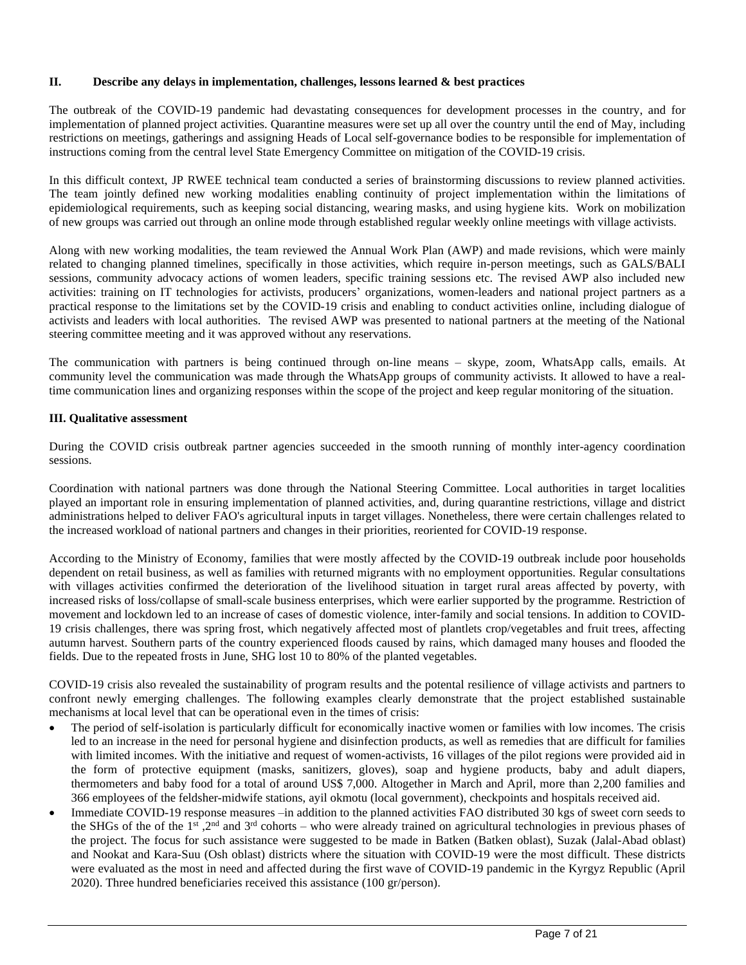# **II. Describe any delays in implementation, challenges, lessons learned & best practices**

The outbreak of the COVID-19 pandemic had devastating consequences for development processes in the country, and for implementation of planned project activities. Quarantine measures were set up all over the country until the end of May, including restrictions on meetings, gatherings and assigning Heads of Local self-governance bodies to be responsible for implementation of instructions coming from the central level State Emergency Committee on mitigation of the COVID-19 crisis.

In this difficult context, JP RWEE technical team conducted a series of brainstorming discussions to review planned activities. The team jointly defined new working modalities enabling continuity of project implementation within the limitations of epidemiological requirements, such as keeping social distancing, wearing masks, and using hygiene kits. Work on mobilization of new groups was carried out through an online mode through established regular weekly online meetings with village activists.

Along with new working modalities, the team reviewed the Annual Work Plan (AWP) and made revisions, which were mainly related to changing planned timelines, specifically in those activities, which require in-person meetings, such as GALS/BALI sessions, community advocacy actions of women leaders, specific training sessions etc. The revised AWP also included new activities: training on IT technologies for activists, producers' organizations, women-leaders and national project partners as a practical response to the limitations set by the COVID-19 crisis and enabling to conduct activities online, including dialogue of activists and leaders with local authorities. The revised AWP was presented to national partners at the meeting of the National steering committee meeting and it was approved without any reservations.

The communication with partners is being continued through on-line means – skype, zoom, WhatsApp calls, emails. At community level the communication was made through the WhatsApp groups of community activists. It allowed to have a realtime communication lines and organizing responses within the scope of the project and keep regular monitoring of the situation.

# **III. Qualitative assessment**

During the COVID crisis outbreak partner agencies succeeded in the smooth running of monthly inter-agency coordination sessions.

Coordination with national partners was done through the National Steering Committee. Local authorities in target localities played an important role in ensuring implementation of planned activities, and, during quarantine restrictions, village and district administrations helped to deliver FAO's agricultural inputs in target villages. Nonetheless, there were certain challenges related to the increased workload of national partners and changes in their priorities, reoriented for COVID-19 response.

According to the Ministry of Economy, families that were mostly affected by the COVID-19 outbreak include poor households dependent on retail business, as well as families with returned migrants with no employment opportunities. Regular consultations with villages activities confirmed the deterioration of the livelihood situation in target rural areas affected by poverty, with increased risks of loss/collapse of small-scale business enterprises, which were earlier supported by the programme. Restriction of movement and lockdown led to an increase of cases of domestic violence, inter-family and social tensions. In addition to COVID-19 crisis challenges, there was spring frost, which negatively affected most of plantlets crop/vegetables and fruit trees, affecting autumn harvest. Southern parts of the country experienced floods caused by rains, which damaged many houses and flooded the fields. Due to the repeated frosts in June, SHG lost 10 to 80% of the planted vegetables.

COVID-19 crisis also revealed the sustainability of program results and the potental resilience of village activists and partners to confront newly emerging challenges. The following examples clearly demonstrate that the project established sustainable mechanisms at local level that can be operational even in the times of crisis:

- The period of self-isolation is particularly difficult for economically inactive women or families with low incomes. The crisis led to an increase in the need for personal hygiene and disinfection products, as well as remedies that are difficult for families with limited incomes. With the initiative and request of women-activists, 16 villages of the pilot regions were provided aid in the form of protective equipment (masks, sanitizers, gloves), soap and hygiene products, baby and adult diapers, thermometers and baby food for a total of around US\$ 7,000. Altogether in March and April, more than 2,200 families and 366 employees of the feldsher-midwife stations, ayil okmotu (local government), checkpoints and hospitals received aid.
- Immediate COVID-19 response measures –in addition to the planned activities FAO distributed 30 kgs of sweet corn seeds to the SHGs of the of the 1<sup>st</sup>, 2<sup>nd</sup> and 3<sup>rd</sup> cohorts – who were already trained on agricultural technologies in previous phases of the project. The focus for such assistance were suggested to be made in Batken (Batken oblast), Suzak (Jalal-Abad oblast) and Nookat and Kara-Suu (Osh oblast) districts where the situation with COVID-19 were the most difficult. These districts were evaluated as the most in need and affected during the first wave of COVID-19 pandemic in the Kyrgyz Republic (April 2020). Three hundred beneficiaries received this assistance (100 gr/person).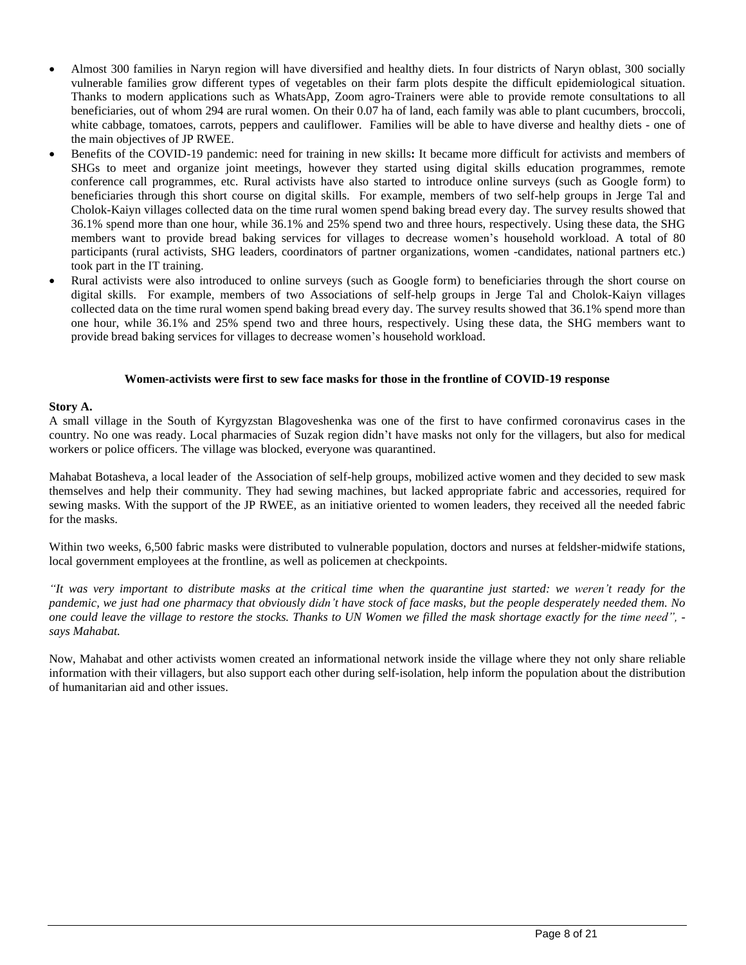- Almost 300 families in Naryn region will have diversified and healthy diets. In four districts of Naryn oblast, 300 socially vulnerable families grow different types of vegetables on their farm plots despite the difficult epidemiological situation. Thanks to modern applications such as WhatsApp, Zoom agro-Trainers were able to provide remote consultations to all beneficiaries, out of whom 294 are rural women. On their 0.07 ha of land, each family was able to plant cucumbers, broccoli, white cabbage, tomatoes, carrots, peppers and cauliflower. Families will be able to have diverse and healthy diets - one of the main objectives of JP RWEE.
- Benefits of the COVID-19 pandemic: need for training in new skills**:** It became more difficult for activists and members of SHGs to meet and organize joint meetings, however they started using digital skills education programmes, remote conference call programmes, etc. Rural activists have also started to introduce online surveys (such as Google form) to beneficiaries through this short course on digital skills. For example, members of two self-help groups in Jerge Tal and Cholok-Kaiyn villages collected data on the time rural women spend baking bread every day. The survey results showed that 36.1% spend more than one hour, while 36.1% and 25% spend two and three hours, respectively. Using these data, the SHG members want to provide bread baking services for villages to decrease women's household workload. A total of 80 participants (rural activists, SHG leaders, coordinators of partner organizations, women -candidates, national partners etc.) took part in the IT training.
- Rural activists were also introduced to online surveys (such as Google form) to beneficiaries through the short course on digital skills. For example, members of two Associations of self-help groups in Jerge Tal and Cholok-Kaiyn villages collected data on the time rural women spend baking bread every day. The survey results showed that 36.1% spend more than one hour, while 36.1% and 25% spend two and three hours, respectively. Using these data, the SHG members want to provide bread baking services for villages to decrease women's household workload.

#### **Women-activists were first to sew face masks for those in the frontline of COVID-19 response**

#### **Story A.**

A small village in the South of Kyrgyzstan Blagoveshenka was one of the first to have confirmed coronavirus cases in the country. No one was ready. Local pharmacies of Suzak region didn't have masks not only for the villagers, but also for medical workers or police officers. The village was blocked, everyone was quarantined.

Mahabat Botasheva, a local leader of the Association of self-help groups, mobilized active women and they decided to sew mask themselves and help their community. They had sewing machines, but lacked appropriate fabric and accessories, required for sewing masks. With the support of the JP RWEE, as an initiative oriented to women leaders, they received all the needed fabric for the masks.

Within two weeks, 6,500 fabric masks were distributed to vulnerable population, doctors and nurses at feldsher-midwife stations, local government employees at the frontline, as well as policemen at checkpoints.

*"It was very important to distribute masks at the critical time when the quarantine just started: we weren't ready for the pandemic, we just had one pharmacy that obviously didn't have stock of face masks, but the people desperately needed them. No one could leave the village to restore the stocks. Thanks to UN Women we filled the mask shortage exactly for the time need", says Mahabat.*

Now, Mahabat and other activists women created an informational network inside the village where they not only share reliable information with their villagers, but also support each other during self-isolation, help inform the population about the distribution of humanitarian aid and other issues.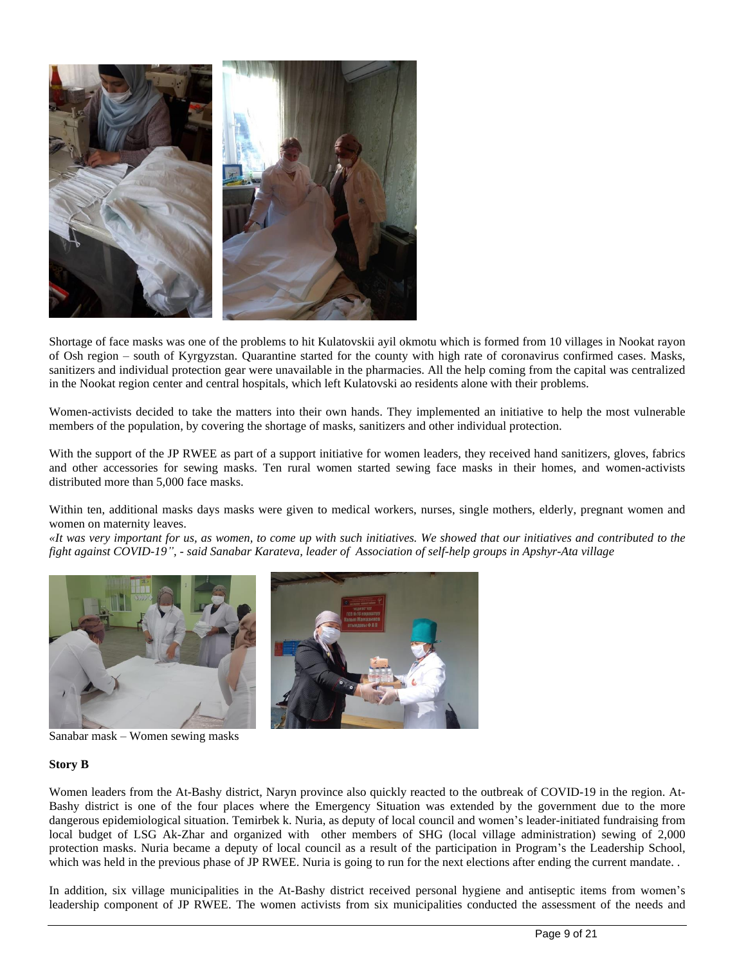

Shortage of face masks was one of the problems to hit Kulatovskii ayil okmotu which is formed from 10 villages in Nookat rayon of Osh region – south of Kyrgyzstan. Quarantine started for the county with high rate of coronavirus confirmed cases. Masks, sanitizers and individual protection gear were unavailable in the pharmacies. All the help coming from the capital was centralized in the Nookat region center and central hospitals, which left Kulatovski ao residents alone with their problems.

Women-activists decided to take the matters into their own hands. They implemented an initiative to help the most vulnerable members of the population, by covering the shortage of masks, sanitizers and other individual protection.

With the support of the JP RWEE as part of a support initiative for women leaders, they received hand sanitizers, gloves, fabrics and other accessories for sewing masks. Ten rural women started sewing face masks in their homes, and women-activists distributed more than 5,000 face masks.

Within ten, additional masks days masks were given to medical workers, nurses, single mothers, elderly, pregnant women and women on maternity leaves.

*«It was very important for us, as women, to come up with such initiatives. We showed that our initiatives and contributed to the fight against COVID-19", - said Sanabar Karateva, leader of Association of self-help groups in Apshyr-Ata village*



Sanabar mask – Women sewing masks

#### **Story B**

Women leaders from the At-Bashy district, Naryn province also quickly reacted to the outbreak of COVID-19 in the region. At-Bashy district is one of the four places where the Emergency Situation was extended by the government due to the more dangerous epidemiological situation. Temirbek k. Nuria, as deputy of local council and women's leader-initiated fundraising from local budget of LSG Ak-Zhar and organized with other members of SHG (local village administration) sewing of 2,000 protection masks. Nuria became a deputy of local council as a result of the participation in Program's the Leadership School, which was held in the previous phase of JP RWEE. Nuria is going to run for the next elections after ending the current mandate..

In addition, six village municipalities in the At-Bashy district received personal hygiene and antiseptic items from women's leadership component of JP RWEE. The women activists from six municipalities conducted the assessment of the needs and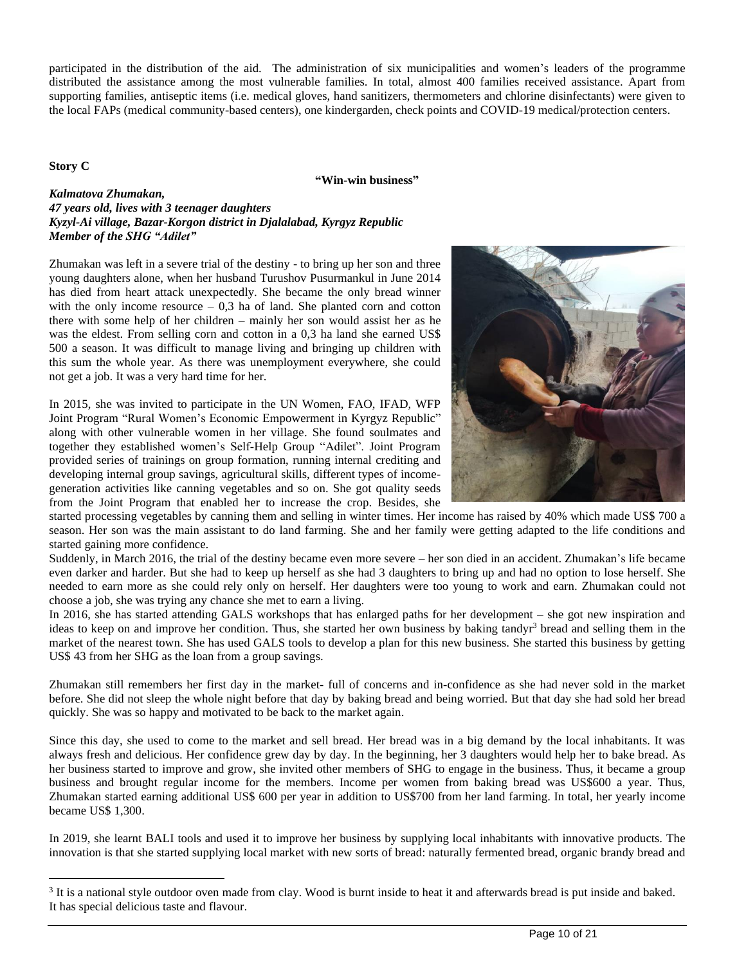participated in the distribution of the aid. The administration of six municipalities and women's leaders of the programme distributed the assistance among the most vulnerable families. In total, almost 400 families received assistance. Apart from supporting families, antiseptic items (i.e. medical gloves, hand sanitizers, thermometers and chlorine disinfectants) were given to the local FAPs (medical community-based centers), one kindergarden, check points and COVID-19 medical/protection centers.

**Story C**

#### **"Win-win business"**

#### *Kalmatova Zhumakan, 47 years old, lives with 3 teenager daughters Kyzyl-Ai village, Bazar-Korgon district in Djalalabad, Kyrgyz Republic Member of the SHG "Adilet"*

Zhumakan was left in a severe trial of the destiny - to bring up her son and three young daughters alone, when her husband Turushov Pusurmankul in June 2014 has died from heart attack unexpectedly. She became the only bread winner with the only income resource  $-0.3$  ha of land. She planted corn and cotton there with some help of her children – mainly her son would assist her as he was the eldest. From selling corn and cotton in a 0,3 ha land she earned US\$ 500 a season. It was difficult to manage living and bringing up children with this sum the whole year. As there was unemployment everywhere, she could not get a job. It was a very hard time for her.

In 2015, she was invited to participate in the UN Women, FAO, IFAD, WFP Joint Program "Rural Women's Economic Empowerment in Kyrgyz Republic" along with other vulnerable women in her village. She found soulmates and together they established women's Self-Help Group "Adilet". Joint Program provided series of trainings on group formation, running internal crediting and developing internal group savings, agricultural skills, different types of incomegeneration activities like canning vegetables and so on. She got quality seeds from the Joint Program that enabled her to increase the crop. Besides, she



started processing vegetables by canning them and selling in winter times. Her income has raised by 40% which made US\$ 700 a season. Her son was the main assistant to do land farming. She and her family were getting adapted to the life conditions and started gaining more confidence.

Suddenly, in March 2016, the trial of the destiny became even more severe – her son died in an accident. Zhumakan's life became even darker and harder. But she had to keep up herself as she had 3 daughters to bring up and had no option to lose herself. She needed to earn more as she could rely only on herself. Her daughters were too young to work and earn. Zhumakan could not choose a job, she was trying any chance she met to earn a living.

In 2016, she has started attending GALS workshops that has enlarged paths for her development – she got new inspiration and ideas to keep on and improve her condition. Thus, she started her own business by baking tandyr<sup>3</sup> bread and selling them in the market of the nearest town. She has used GALS tools to develop a plan for this new business. She started this business by getting US\$ 43 from her SHG as the loan from a group savings.

Zhumakan still remembers her first day in the market- full of concerns and in-confidence as she had never sold in the market before. She did not sleep the whole night before that day by baking bread and being worried. But that day she had sold her bread quickly. She was so happy and motivated to be back to the market again.

Since this day, she used to come to the market and sell bread. Her bread was in a big demand by the local inhabitants. It was always fresh and delicious. Her confidence grew day by day. In the beginning, her 3 daughters would help her to bake bread. As her business started to improve and grow, she invited other members of SHG to engage in the business. Thus, it became a group business and brought regular income for the members. Income per women from baking bread was US\$600 a year. Thus, Zhumakan started earning additional US\$ 600 per year in addition to US\$700 from her land farming. In total, her yearly income became US\$ 1,300.

In 2019, she learnt BALI tools and used it to improve her business by supplying local inhabitants with innovative products. The innovation is that she started supplying local market with new sorts of bread: naturally fermented bread, organic brandy bread and

<sup>&</sup>lt;sup>3</sup> It is a national style outdoor oven made from clay. Wood is burnt inside to heat it and afterwards bread is put inside and baked. It has special delicious taste and flavour.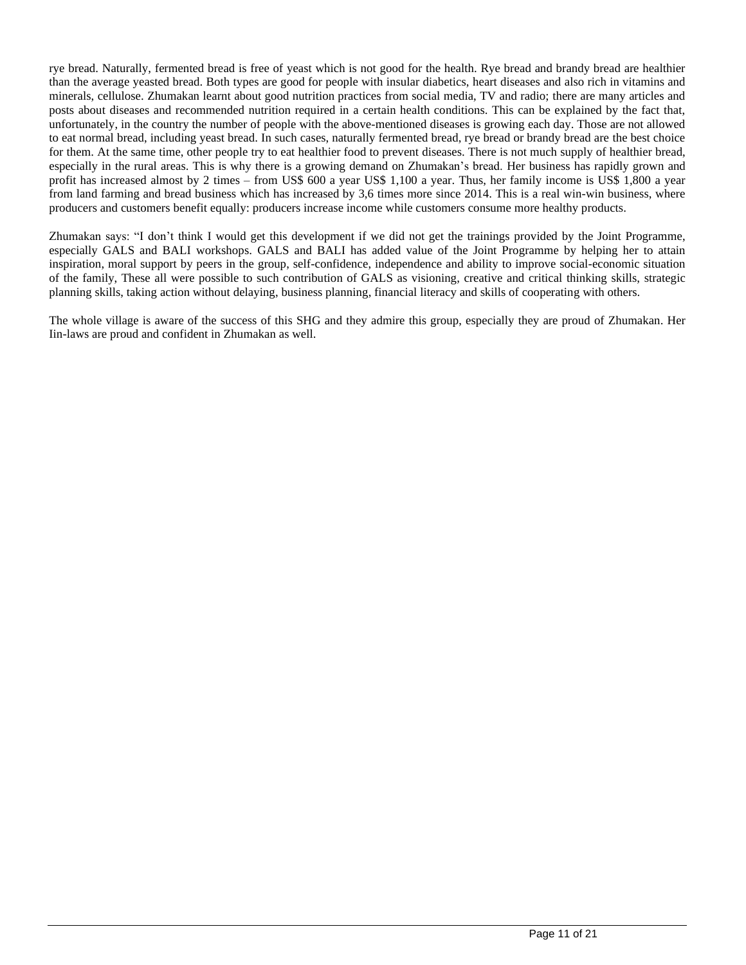rye bread. Naturally, fermented bread is free of yeast which is not good for the health. Rye bread and brandy bread are healthier than the average yeasted bread. Both types are good for people with insular diabetics, heart diseases and also rich in vitamins and minerals, cellulose. Zhumakan learnt about good nutrition practices from social media, TV and radio; there are many articles and posts about diseases and recommended nutrition required in a certain health conditions. This can be explained by the fact that, unfortunately, in the country the number of people with the above-mentioned diseases is growing each day. Those are not allowed to eat normal bread, including yeast bread. In such cases, naturally fermented bread, rye bread or brandy bread are the best choice for them. At the same time, other people try to eat healthier food to prevent diseases. There is not much supply of healthier bread, especially in the rural areas. This is why there is a growing demand on Zhumakan's bread. Her business has rapidly grown and profit has increased almost by 2 times – from US\$ 600 a year US\$ 1,100 a year. Thus, her family income is US\$ 1,800 a year from land farming and bread business which has increased by 3,6 times more since 2014. This is a real win-win business, where producers and customers benefit equally: producers increase income while customers consume more healthy products.

Zhumakan says: "I don't think I would get this development if we did not get the trainings provided by the Joint Programme, especially GALS and BALI workshops. GALS and BALI has added value of the Joint Programme by helping her to attain inspiration, moral support by peers in the group, self-confidence, independence and ability to improve social-economic situation of the family, These all were possible to such contribution of GALS as visioning, creative and critical thinking skills, strategic planning skills, taking action without delaying, business planning, financial literacy and skills of cooperating with others.

The whole village is aware of the success of this SHG and they admire this group, especially they are proud of Zhumakan. Her Iin-laws are proud and confident in Zhumakan as well.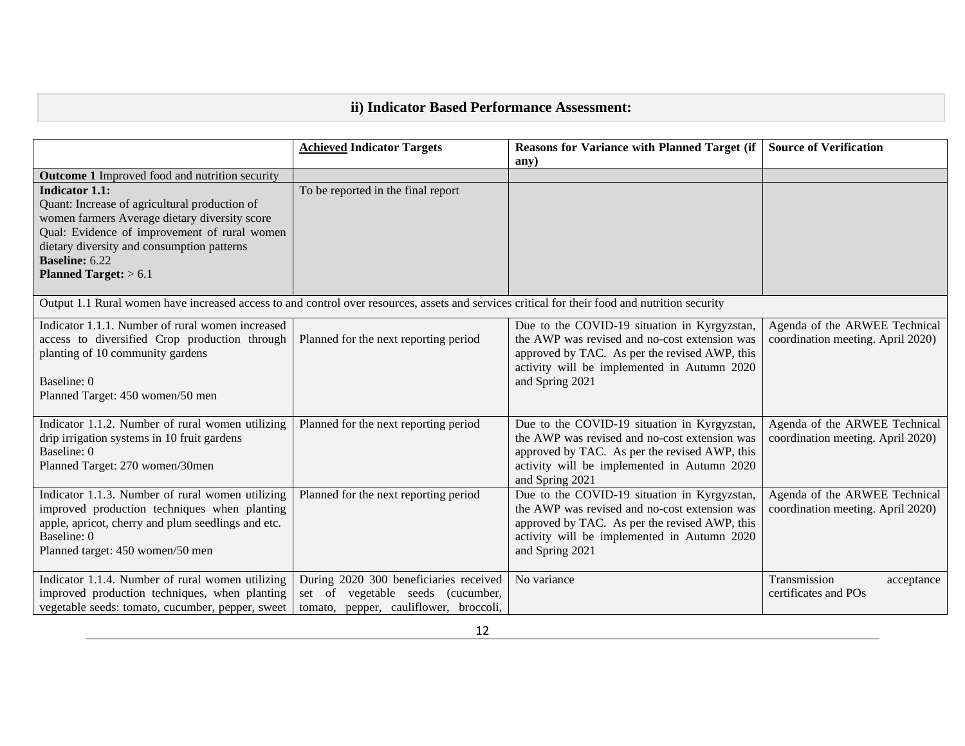# **ii) Indicator Based Performance Assessment:**

|                                                                                                                                                | <b>Achieved Indicator Targets</b>      | <b>Reasons for Variance with Planned Target (if</b>                                          | <b>Source of Verification</b>     |
|------------------------------------------------------------------------------------------------------------------------------------------------|----------------------------------------|----------------------------------------------------------------------------------------------|-----------------------------------|
|                                                                                                                                                |                                        | any)                                                                                         |                                   |
| <b>Outcome 1</b> Improved food and nutrition security                                                                                          |                                        |                                                                                              |                                   |
| <b>Indicator 1.1:</b>                                                                                                                          | To be reported in the final report     |                                                                                              |                                   |
| Quant: Increase of agricultural production of                                                                                                  |                                        |                                                                                              |                                   |
| women farmers Average dietary diversity score                                                                                                  |                                        |                                                                                              |                                   |
| Qual: Evidence of improvement of rural women                                                                                                   |                                        |                                                                                              |                                   |
| dietary diversity and consumption patterns                                                                                                     |                                        |                                                                                              |                                   |
| <b>Baseline: 6.22</b>                                                                                                                          |                                        |                                                                                              |                                   |
| Planned Target: $> 6.1$                                                                                                                        |                                        |                                                                                              |                                   |
|                                                                                                                                                |                                        |                                                                                              |                                   |
| Output 1.1 Rural women have increased access to and control over resources, assets and services critical for their food and nutrition security |                                        |                                                                                              |                                   |
| Indicator 1.1.1. Number of rural women increased                                                                                               |                                        | Due to the COVID-19 situation in Kyrgyzstan,                                                 | Agenda of the ARWEE Technical     |
| access to diversified Crop production through                                                                                                  | Planned for the next reporting period  | the AWP was revised and no-cost extension was                                                | coordination meeting. April 2020) |
| planting of 10 community gardens                                                                                                               |                                        | approved by TAC. As per the revised AWP, this                                                |                                   |
|                                                                                                                                                |                                        | activity will be implemented in Autumn 2020                                                  |                                   |
| Baseline: 0                                                                                                                                    |                                        | and Spring 2021                                                                              |                                   |
| Planned Target: 450 women/50 men                                                                                                               |                                        |                                                                                              |                                   |
|                                                                                                                                                |                                        |                                                                                              |                                   |
| Indicator 1.1.2. Number of rural women utilizing                                                                                               | Planned for the next reporting period  | Due to the COVID-19 situation in Kyrgyzstan,                                                 | Agenda of the ARWEE Technical     |
| drip irrigation systems in 10 fruit gardens<br>Baseline: 0                                                                                     |                                        | the AWP was revised and no-cost extension was                                                | coordination meeting. April 2020) |
| Planned Target: 270 women/30men                                                                                                                |                                        | approved by TAC. As per the revised AWP, this<br>activity will be implemented in Autumn 2020 |                                   |
|                                                                                                                                                |                                        | and Spring 2021                                                                              |                                   |
| Indicator 1.1.3. Number of rural women utilizing                                                                                               | Planned for the next reporting period  | Due to the COVID-19 situation in Kyrgyzstan,                                                 | Agenda of the ARWEE Technical     |
| improved production techniques when planting                                                                                                   |                                        | the AWP was revised and no-cost extension was                                                | coordination meeting. April 2020) |
| apple, apricot, cherry and plum seedlings and etc.                                                                                             |                                        | approved by TAC. As per the revised AWP, this                                                |                                   |
| Baseline: 0                                                                                                                                    |                                        | activity will be implemented in Autumn 2020                                                  |                                   |
| Planned target: 450 women/50 men                                                                                                               |                                        | and Spring 2021                                                                              |                                   |
|                                                                                                                                                |                                        |                                                                                              |                                   |
| Indicator 1.1.4. Number of rural women utilizing                                                                                               | During 2020 300 beneficiaries received | No variance                                                                                  | Transmission<br>acceptance        |
| improved production techniques, when planting                                                                                                  | set of vegetable seeds (cucumber,      |                                                                                              | certificates and POs              |
| vegetable seeds: tomato, cucumber, pepper, sweet                                                                                               | tomato, pepper, cauliflower, broccoli, |                                                                                              |                                   |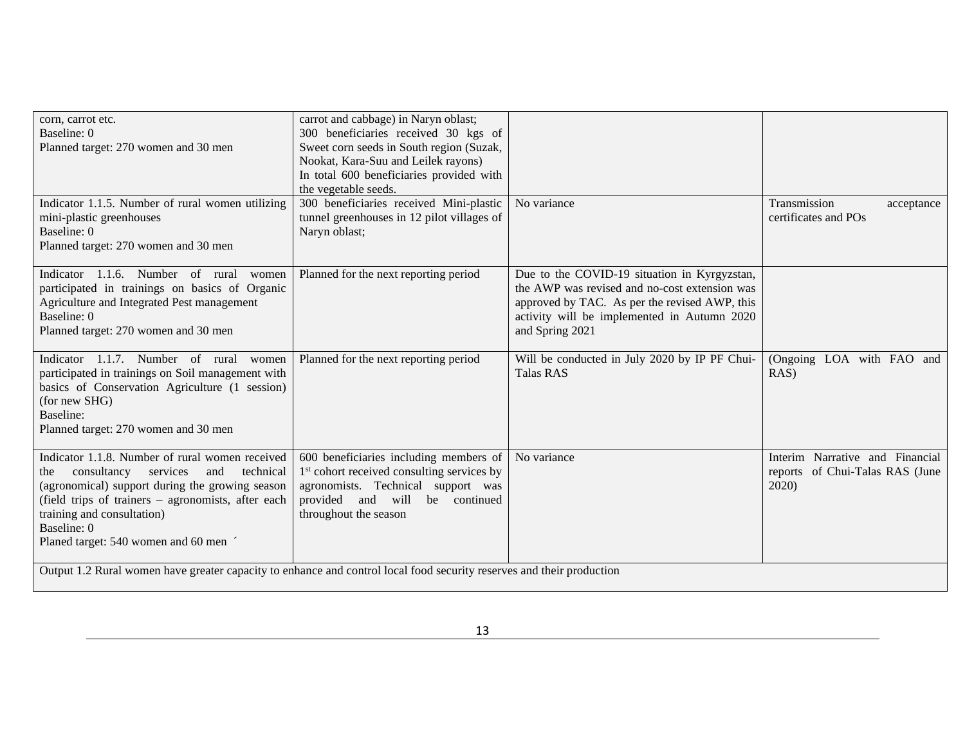| corn, carrot etc.<br>Baseline: 0<br>Planned target: 270 women and 30 men                                                                                                                                                                                                                           | carrot and cabbage) in Naryn oblast;<br>300 beneficiaries received 30 kgs of<br>Sweet corn seeds in South region (Suzak,<br>Nookat, Kara-Suu and Leilek rayons)<br>In total 600 beneficiaries provided with<br>the vegetable seeds. |                                                                                                                                                                                                                  |                                                                             |
|----------------------------------------------------------------------------------------------------------------------------------------------------------------------------------------------------------------------------------------------------------------------------------------------------|-------------------------------------------------------------------------------------------------------------------------------------------------------------------------------------------------------------------------------------|------------------------------------------------------------------------------------------------------------------------------------------------------------------------------------------------------------------|-----------------------------------------------------------------------------|
| Indicator 1.1.5. Number of rural women utilizing<br>mini-plastic greenhouses<br>Baseline: 0<br>Planned target: 270 women and 30 men                                                                                                                                                                | 300 beneficiaries received Mini-plastic<br>tunnel greenhouses in 12 pilot villages of<br>Naryn oblast;                                                                                                                              | No variance                                                                                                                                                                                                      | Transmission<br>acceptance<br>certificates and POs                          |
| Indicator 1.1.6. Number of rural<br>women<br>participated in trainings on basics of Organic<br>Agriculture and Integrated Pest management<br>Baseline: 0<br>Planned target: 270 women and 30 men                                                                                                   | Planned for the next reporting period                                                                                                                                                                                               | Due to the COVID-19 situation in Kyrgyzstan,<br>the AWP was revised and no-cost extension was<br>approved by TAC. As per the revised AWP, this<br>activity will be implemented in Autumn 2020<br>and Spring 2021 |                                                                             |
| Indicator 1.1.7. Number of rural women<br>participated in trainings on Soil management with<br>basics of Conservation Agriculture (1 session)<br>(for new SHG)<br>Baseline:<br>Planned target: 270 women and 30 men                                                                                | Planned for the next reporting period                                                                                                                                                                                               | Will be conducted in July 2020 by IP PF Chui-<br><b>Talas RAS</b>                                                                                                                                                | (Ongoing LOA with FAO and<br>$RAS$ )                                        |
| Indicator 1.1.8. Number of rural women received<br>services<br>technical<br>consultancy<br>and<br>the<br>(agronomical) support during the growing season<br>(field trips of trainers – agronomists, after each<br>training and consultation)<br>Baseline: 0<br>Planed target: 540 women and 60 men | 600 beneficiaries including members of<br>1 <sup>st</sup> cohort received consulting services by<br>agronomists. Technical support was<br>provided and will<br>be continued<br>throughout the season                                | No variance                                                                                                                                                                                                      | Interim Narrative and Financial<br>reports of Chui-Talas RAS (June<br>2020) |
| Output 1.2 Rural women have greater capacity to enhance and control local food security reserves and their production                                                                                                                                                                              |                                                                                                                                                                                                                                     |                                                                                                                                                                                                                  |                                                                             |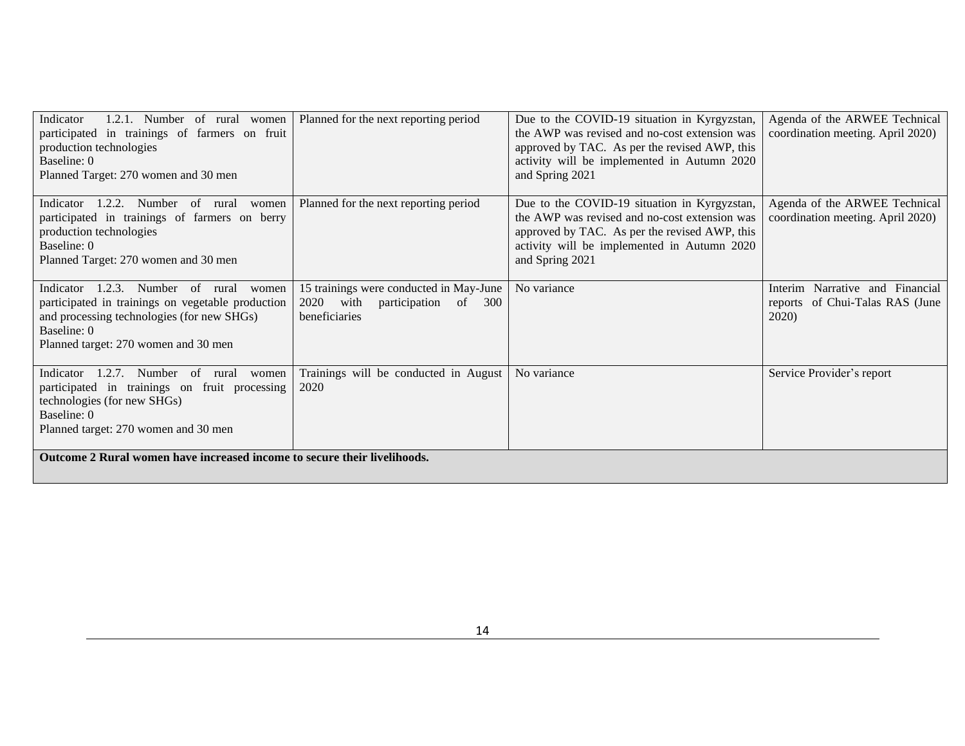| Indicator<br>1.2.1. Number of rural women<br>participated in trainings of farmers on fruit<br>production technologies<br>Baseline: 0<br>Planned Target: 270 women and 30 men                                 | Planned for the next reporting period                                                            | Due to the COVID-19 situation in Kyrgyzstan,<br>the AWP was revised and no-cost extension was<br>approved by TAC. As per the revised AWP, this<br>activity will be implemented in Autumn 2020<br>and Spring 2021 | Agenda of the ARWEE Technical<br>coordination meeting. April 2020)          |
|--------------------------------------------------------------------------------------------------------------------------------------------------------------------------------------------------------------|--------------------------------------------------------------------------------------------------|------------------------------------------------------------------------------------------------------------------------------------------------------------------------------------------------------------------|-----------------------------------------------------------------------------|
| 1.2.2.<br>Number of rural<br>Indicator<br>women<br>participated in trainings of farmers on berry<br>production technologies<br>Baseline: 0<br>Planned Target: 270 women and 30 men                           | Planned for the next reporting period                                                            | Due to the COVID-19 situation in Kyrgyzstan,<br>the AWP was revised and no-cost extension was<br>approved by TAC. As per the revised AWP, this<br>activity will be implemented in Autumn 2020<br>and Spring 2021 | Agenda of the ARWEE Technical<br>coordination meeting. April 2020)          |
| 1.2.3.<br>Indicator<br>Number of<br>rural<br>women<br>participated in trainings on vegetable production<br>and processing technologies (for new SHGs)<br>Baseline: 0<br>Planned target: 270 women and 30 men | 15 trainings were conducted in May-June<br>2020<br>with<br>participation of 300<br>beneficiaries | No variance                                                                                                                                                                                                      | Interim Narrative and Financial<br>reports of Chui-Talas RAS (June<br>2020) |
| 1.2.7.<br>Number<br>Indicator<br>of<br>rural<br>women<br>participated in trainings on fruit processing<br>technologies (for new SHGs)<br>Baseline: 0<br>Planned target: 270 women and 30 men                 | Trainings will be conducted in August<br>2020                                                    | No variance                                                                                                                                                                                                      | Service Provider's report                                                   |
| Outcome 2 Rural women have increased income to secure their livelihoods.                                                                                                                                     |                                                                                                  |                                                                                                                                                                                                                  |                                                                             |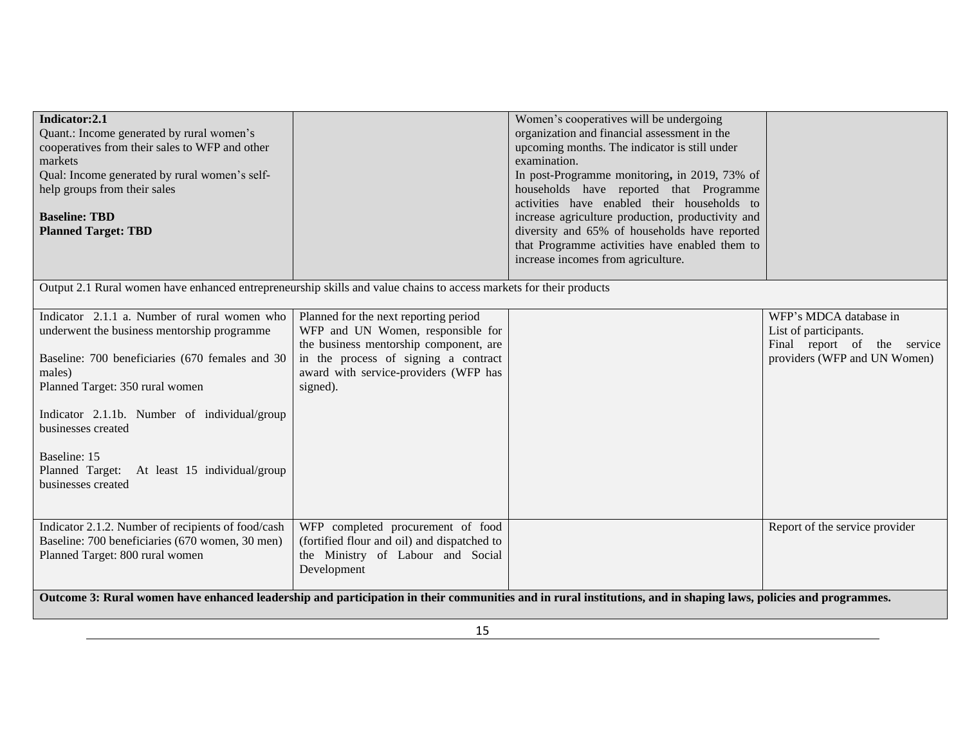| Indicator:2.1<br>Quant.: Income generated by rural women's<br>cooperatives from their sales to WFP and other<br>markets<br>Qual: Income generated by rural women's self-<br>help groups from their sales<br><b>Baseline: TBD</b><br><b>Planned Target: TBD</b>                                                                                          |                                                                                                                                                                                                                   | Women's cooperatives will be undergoing<br>organization and financial assessment in the<br>upcoming months. The indicator is still under<br>examination.<br>In post-Programme monitoring, in 2019, 73% of<br>households have reported that Programme<br>activities have enabled their households to<br>increase agriculture production, productivity and<br>diversity and 65% of households have reported<br>that Programme activities have enabled them to<br>increase incomes from agriculture. |                                                                                                                |
|---------------------------------------------------------------------------------------------------------------------------------------------------------------------------------------------------------------------------------------------------------------------------------------------------------------------------------------------------------|-------------------------------------------------------------------------------------------------------------------------------------------------------------------------------------------------------------------|---------------------------------------------------------------------------------------------------------------------------------------------------------------------------------------------------------------------------------------------------------------------------------------------------------------------------------------------------------------------------------------------------------------------------------------------------------------------------------------------------|----------------------------------------------------------------------------------------------------------------|
| Output 2.1 Rural women have enhanced entrepreneurship skills and value chains to access markets for their products                                                                                                                                                                                                                                      |                                                                                                                                                                                                                   |                                                                                                                                                                                                                                                                                                                                                                                                                                                                                                   |                                                                                                                |
| Indicator 2.1.1 a. Number of rural women who<br>underwent the business mentorship programme<br>Baseline: 700 beneficiaries (670 females and 30<br>males)<br>Planned Target: 350 rural women<br>Indicator 2.1.1b. Number of individual/group<br>businesses created<br>Baseline: 15<br>Planned Target: At least 15 individual/group<br>businesses created | Planned for the next reporting period<br>WFP and UN Women, responsible for<br>the business mentorship component, are<br>in the process of signing a contract<br>award with service-providers (WFP has<br>signed). |                                                                                                                                                                                                                                                                                                                                                                                                                                                                                                   | WFP's MDCA database in<br>List of participants.<br>Final report of the service<br>providers (WFP and UN Women) |
| Indicator 2.1.2. Number of recipients of food/cash<br>Baseline: 700 beneficiaries (670 women, 30 men)<br>Planned Target: 800 rural women                                                                                                                                                                                                                | WFP completed procurement of food<br>(fortified flour and oil) and dispatched to<br>the Ministry of Labour and Social<br>Development                                                                              |                                                                                                                                                                                                                                                                                                                                                                                                                                                                                                   | Report of the service provider                                                                                 |
|                                                                                                                                                                                                                                                                                                                                                         |                                                                                                                                                                                                                   | Outcome 3: Rural women have enhanced leadership and participation in their communities and in rural institutions, and in shaping laws, policies and programmes.                                                                                                                                                                                                                                                                                                                                   |                                                                                                                |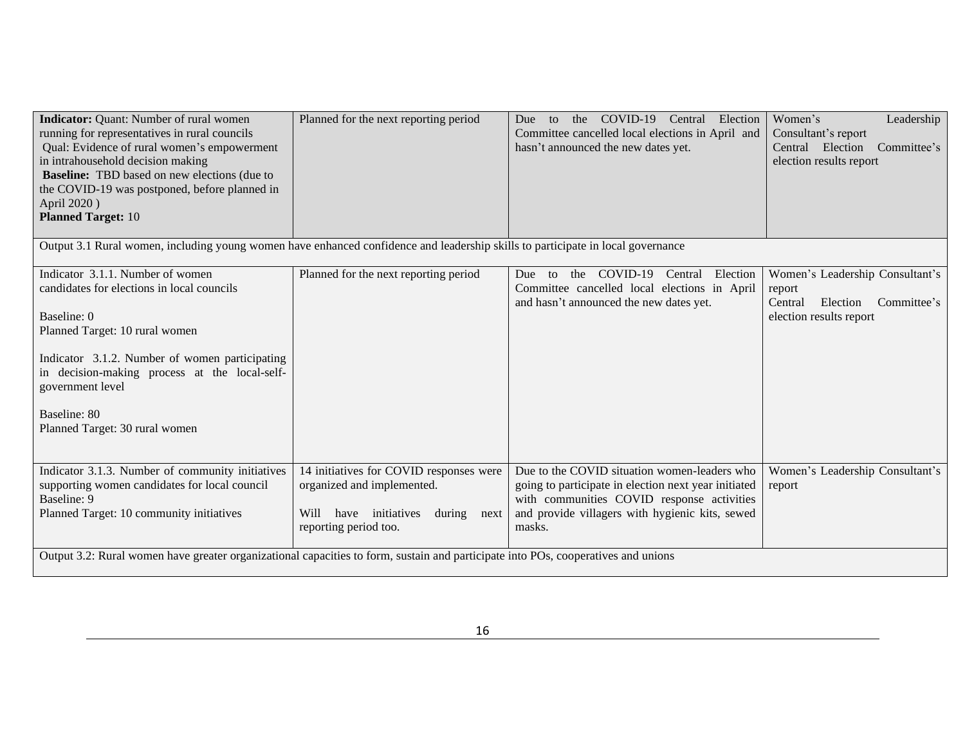| <b>Indicator:</b> Quant: Number of rural women<br>running for representatives in rural councils<br>Qual: Evidence of rural women's empowerment<br>in intrahousehold decision making<br><b>Baseline:</b> TBD based on new elections (due to<br>the COVID-19 was postponed, before planned in<br>April 2020)<br><b>Planned Target: 10</b> | Planned for the next reporting period                                                                                                        | COVID-19 Central Election<br>the<br>Due<br>to<br>Committee cancelled local elections in April and<br>hasn't announced the new dates yet.                                                                        | Women's<br>Leadership<br>Consultant's report<br>Central Election<br>Committee's<br>election results report |
|-----------------------------------------------------------------------------------------------------------------------------------------------------------------------------------------------------------------------------------------------------------------------------------------------------------------------------------------|----------------------------------------------------------------------------------------------------------------------------------------------|-----------------------------------------------------------------------------------------------------------------------------------------------------------------------------------------------------------------|------------------------------------------------------------------------------------------------------------|
| Output 3.1 Rural women, including young women have enhanced confidence and leadership skills to participate in local governance                                                                                                                                                                                                         |                                                                                                                                              |                                                                                                                                                                                                                 |                                                                                                            |
| Indicator 3.1.1. Number of women<br>candidates for elections in local councils                                                                                                                                                                                                                                                          | Planned for the next reporting period                                                                                                        | COVID-19<br>Election<br>Central<br>Due<br>the<br>to<br>Committee cancelled local elections in April<br>and hasn't announced the new dates yet.                                                                  | Women's Leadership Consultant's<br>report<br>Committee's<br>Central<br>Election                            |
| Baseline: 0<br>Planned Target: 10 rural women                                                                                                                                                                                                                                                                                           |                                                                                                                                              |                                                                                                                                                                                                                 | election results report                                                                                    |
| Indicator 3.1.2. Number of women participating<br>in decision-making process at the local-self-<br>government level                                                                                                                                                                                                                     |                                                                                                                                              |                                                                                                                                                                                                                 |                                                                                                            |
| Baseline: 80<br>Planned Target: 30 rural women                                                                                                                                                                                                                                                                                          |                                                                                                                                              |                                                                                                                                                                                                                 |                                                                                                            |
| Indicator 3.1.3. Number of community initiatives<br>supporting women candidates for local council<br>Baseline: 9<br>Planned Target: 10 community initiatives                                                                                                                                                                            | 14 initiatives for COVID responses were<br>organized and implemented.<br>have initiatives<br>Will<br>during<br>next<br>reporting period too. | Due to the COVID situation women-leaders who<br>going to participate in election next year initiated<br>with communities COVID response activities<br>and provide villagers with hygienic kits, sewed<br>masks. | Women's Leadership Consultant's<br>report                                                                  |
| Output 3.2: Rural women have greater organizational capacities to form, sustain and participate into POs, cooperatives and unions                                                                                                                                                                                                       |                                                                                                                                              |                                                                                                                                                                                                                 |                                                                                                            |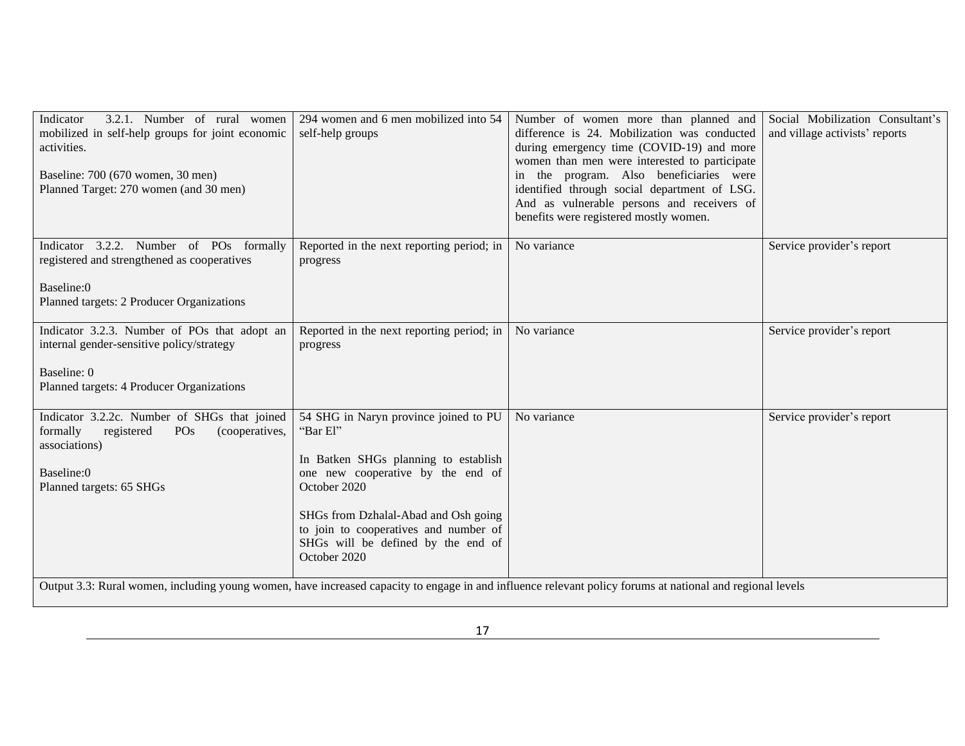| 3.2.1. Number of rural women<br>Indicator<br>mobilized in self-help groups for joint economic<br>activities.<br>Baseline: 700 (670 women, 30 men)<br>Planned Target: 270 women (and 30 men) | 294 women and 6 men mobilized into 54<br>self-help groups                                                                                                                                                                                                                             | Number of women more than planned and<br>difference is 24. Mobilization was conducted<br>during emergency time (COVID-19) and more<br>women than men were interested to participate<br>in the program. Also beneficiaries were<br>identified through social department of LSG.<br>And as vulnerable persons and receivers of<br>benefits were registered mostly women. | Social Mobilization Consultant's<br>and village activists' reports |
|---------------------------------------------------------------------------------------------------------------------------------------------------------------------------------------------|---------------------------------------------------------------------------------------------------------------------------------------------------------------------------------------------------------------------------------------------------------------------------------------|------------------------------------------------------------------------------------------------------------------------------------------------------------------------------------------------------------------------------------------------------------------------------------------------------------------------------------------------------------------------|--------------------------------------------------------------------|
| Indicator 3.2.2. Number of POs formally<br>registered and strengthened as cooperatives<br>Baseline:0<br>Planned targets: 2 Producer Organizations                                           | Reported in the next reporting period; in<br>progress                                                                                                                                                                                                                                 | No variance                                                                                                                                                                                                                                                                                                                                                            | Service provider's report                                          |
| Indicator 3.2.3. Number of POs that adopt an<br>internal gender-sensitive policy/strategy<br>Baseline: 0<br>Planned targets: 4 Producer Organizations                                       | Reported in the next reporting period; in<br>progress                                                                                                                                                                                                                                 | No variance                                                                                                                                                                                                                                                                                                                                                            | Service provider's report                                          |
| Indicator 3.2.2c. Number of SHGs that joined<br>formally<br>registered<br>PO <sub>s</sub><br>(cooperatives,<br>associations)<br>Baseline:0<br>Planned targets: 65 SHGs                      | 54 SHG in Naryn province joined to PU<br>"Bar El"<br>In Batken SHGs planning to establish<br>one new cooperative by the end of<br>October 2020<br>SHGs from Dzhalal-Abad and Osh going<br>to join to cooperatives and number of<br>SHGs will be defined by the end of<br>October 2020 | No variance                                                                                                                                                                                                                                                                                                                                                            | Service provider's report                                          |
|                                                                                                                                                                                             |                                                                                                                                                                                                                                                                                       | Output 3.3: Rural women, including young women, have increased capacity to engage in and influence relevant policy forums at national and regional levels                                                                                                                                                                                                              |                                                                    |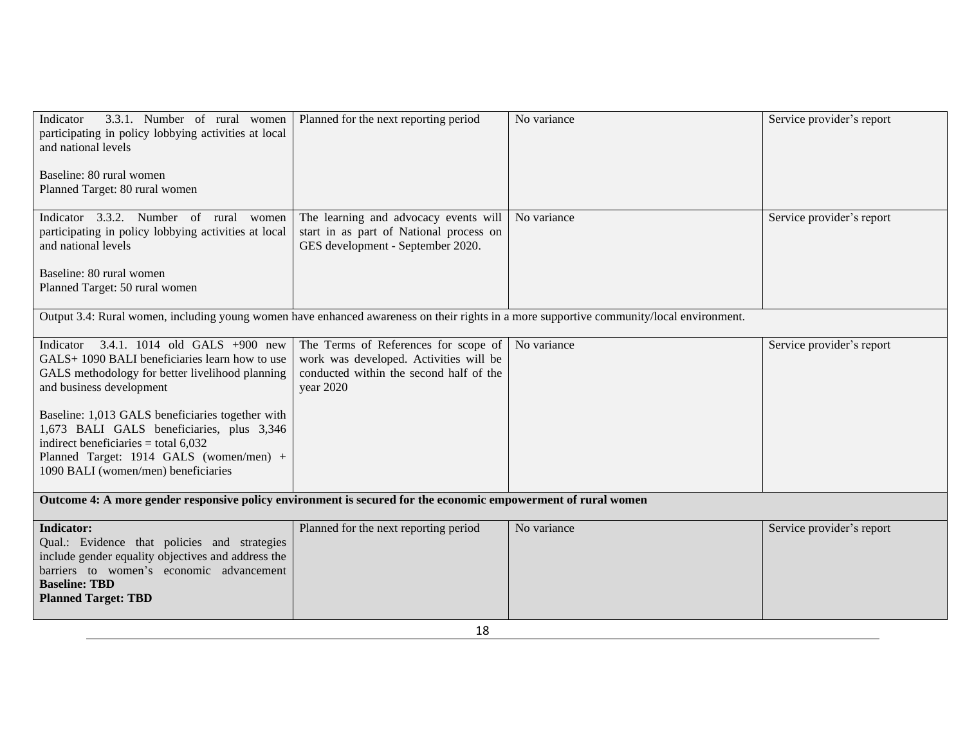| 3.3.1. Number of rural women<br>Indicator<br>participating in policy lobbying activities at local<br>and national levels<br>Baseline: 80 rural women<br>Planned Target: 80 rural women                                                                                                                                                                                                                  | Planned for the next reporting period                                                                                                  | No variance | Service provider's report |
|---------------------------------------------------------------------------------------------------------------------------------------------------------------------------------------------------------------------------------------------------------------------------------------------------------------------------------------------------------------------------------------------------------|----------------------------------------------------------------------------------------------------------------------------------------|-------------|---------------------------|
| Indicator 3.3.2. Number of rural women<br>participating in policy lobbying activities at local<br>and national levels<br>Baseline: 80 rural women<br>Planned Target: 50 rural women                                                                                                                                                                                                                     | The learning and advocacy events will<br>start in as part of National process on<br>GES development - September 2020.                  | No variance | Service provider's report |
| Output 3.4: Rural women, including young women have enhanced awareness on their rights in a more supportive community/local environment.                                                                                                                                                                                                                                                                |                                                                                                                                        |             |                           |
| Indicator $3.4.1$ . 1014 old GALS +900 new<br>GALS+1090 BALI beneficiaries learn how to use<br>GALS methodology for better livelihood planning<br>and business development<br>Baseline: 1,013 GALS beneficiaries together with<br>1,673 BALI GALS beneficiaries, plus 3,346<br>indirect beneficiaries = total $6,032$<br>Planned Target: 1914 GALS (women/men) +<br>1090 BALI (women/men) beneficiaries | The Terms of References for scope of<br>work was developed. Activities will be<br>conducted within the second half of the<br>year 2020 | No variance | Service provider's report |
| Outcome 4: A more gender responsive policy environment is secured for the economic empowerment of rural women                                                                                                                                                                                                                                                                                           |                                                                                                                                        |             |                           |
| <b>Indicator:</b><br>Qual.: Evidence that policies and strategies<br>include gender equality objectives and address the<br>barriers to women's economic advancement<br><b>Baseline: TBD</b><br><b>Planned Target: TBD</b>                                                                                                                                                                               | Planned for the next reporting period                                                                                                  | No variance | Service provider's report |
| 18                                                                                                                                                                                                                                                                                                                                                                                                      |                                                                                                                                        |             |                           |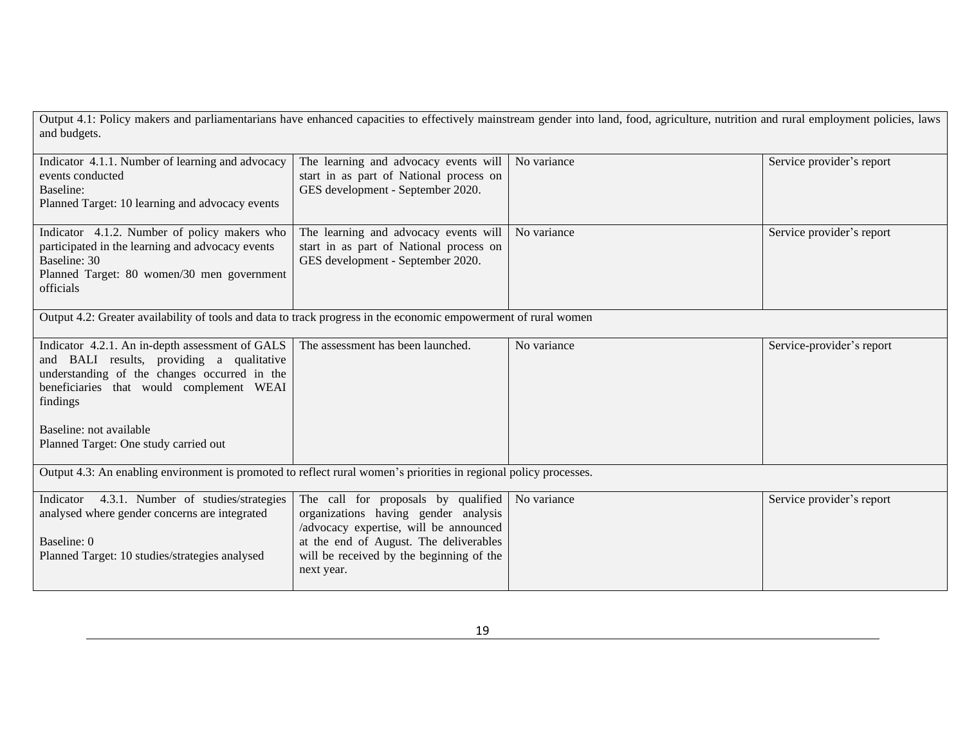Output 4.1: Policy makers and parliamentarians have enhanced capacities to effectively mainstream gender into land, food, agriculture, nutrition and rural employment policies, laws and budgets.

| Indicator 4.1.1. Number of learning and advocacy<br>events conducted<br>Baseline:<br>Planned Target: 10 learning and advocacy events                                                                                                                                     | The learning and advocacy events will<br>start in as part of National process on<br>GES development - September 2020.                                                                                                     | No variance | Service provider's report |
|--------------------------------------------------------------------------------------------------------------------------------------------------------------------------------------------------------------------------------------------------------------------------|---------------------------------------------------------------------------------------------------------------------------------------------------------------------------------------------------------------------------|-------------|---------------------------|
| Indicator 4.1.2. Number of policy makers who<br>participated in the learning and advocacy events<br>Baseline: 30<br>Planned Target: 80 women/30 men government<br>officials                                                                                              | The learning and advocacy events will<br>start in as part of National process on<br>GES development - September 2020.                                                                                                     | No variance | Service provider's report |
| Output 4.2: Greater availability of tools and data to track progress in the economic empowerment of rural women                                                                                                                                                          |                                                                                                                                                                                                                           |             |                           |
| Indicator 4.2.1. An in-depth assessment of GALS<br>and BALI results, providing a qualitative<br>understanding of the changes occurred in the<br>beneficiaries that would complement WEAI<br>findings<br>Baseline: not available<br>Planned Target: One study carried out | The assessment has been launched.                                                                                                                                                                                         | No variance | Service-provider's report |
| Output 4.3: An enabling environment is promoted to reflect rural women's priorities in regional policy processes.                                                                                                                                                        |                                                                                                                                                                                                                           |             |                           |
| Indicator 4.3.1. Number of studies/strategies<br>analysed where gender concerns are integrated<br>Baseline: 0<br>Planned Target: 10 studies/strategies analysed                                                                                                          | The call for proposals by qualified<br>organizations having gender analysis<br>/advocacy expertise, will be announced<br>at the end of August. The deliverables<br>will be received by the beginning of the<br>next year. | No variance | Service provider's report |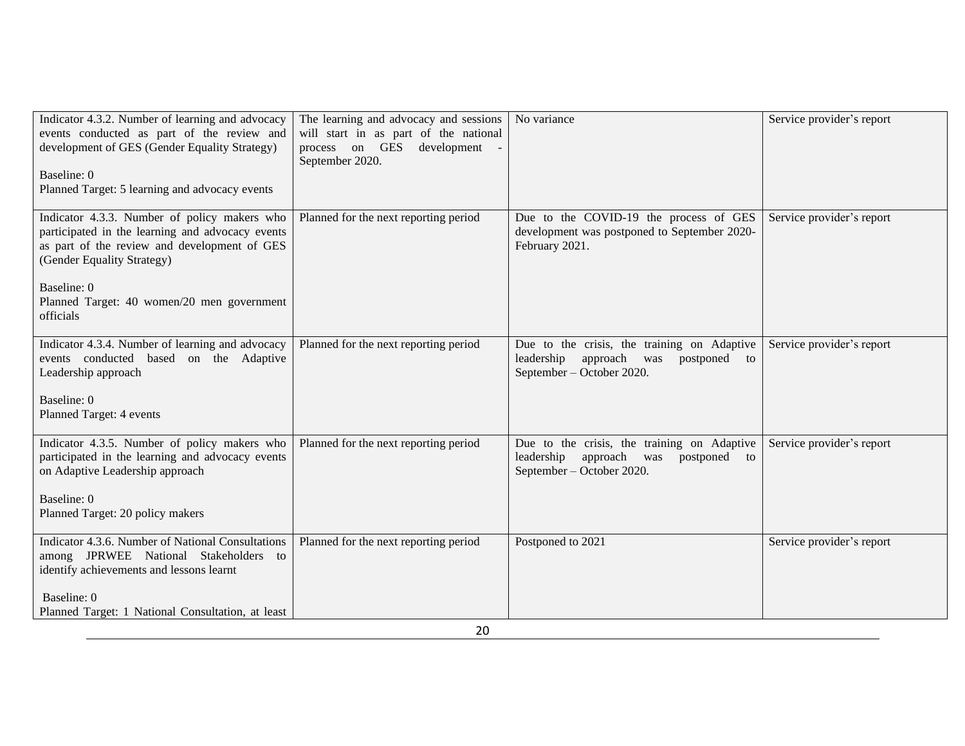| Indicator 4.3.2. Number of learning and advocacy<br>events conducted as part of the review and<br>development of GES (Gender Equality Strategy)<br>Baseline: 0<br>Planned Target: 5 learning and advocacy events                                         | The learning and advocacy and sessions<br>will start in as part of the national<br>process on GES<br>development<br>September 2020. | No variance                                                                                                               | Service provider's report |
|----------------------------------------------------------------------------------------------------------------------------------------------------------------------------------------------------------------------------------------------------------|-------------------------------------------------------------------------------------------------------------------------------------|---------------------------------------------------------------------------------------------------------------------------|---------------------------|
| Indicator 4.3.3. Number of policy makers who<br>participated in the learning and advocacy events<br>as part of the review and development of GES<br>(Gender Equality Strategy)<br>Baseline: 0<br>Planned Target: 40 women/20 men government<br>officials | Planned for the next reporting period                                                                                               | Due to the COVID-19 the process of GES<br>development was postponed to September 2020-<br>February 2021.                  | Service provider's report |
| Indicator 4.3.4. Number of learning and advocacy<br>events conducted based on the Adaptive<br>Leadership approach<br>Baseline: 0<br>Planned Target: 4 events                                                                                             | Planned for the next reporting period                                                                                               | Due to the crisis, the training on Adaptive<br>leadership<br>approach<br>was<br>postponed to<br>September – October 2020. | Service provider's report |
| Indicator 4.3.5. Number of policy makers who<br>participated in the learning and advocacy events<br>on Adaptive Leadership approach<br>Baseline: 0<br>Planned Target: 20 policy makers                                                                   | Planned for the next reporting period                                                                                               | Due to the crisis, the training on Adaptive<br>approach was<br>leadership<br>postponed to<br>September – October 2020.    | Service provider's report |
| <b>Indicator 4.3.6. Number of National Consultations</b><br>among JPRWEE National Stakeholders to<br>identify achievements and lessons learnt<br>Baseline: 0<br>Planned Target: 1 National Consultation, at least                                        | Planned for the next reporting period                                                                                               | Postponed to 2021                                                                                                         | Service provider's report |